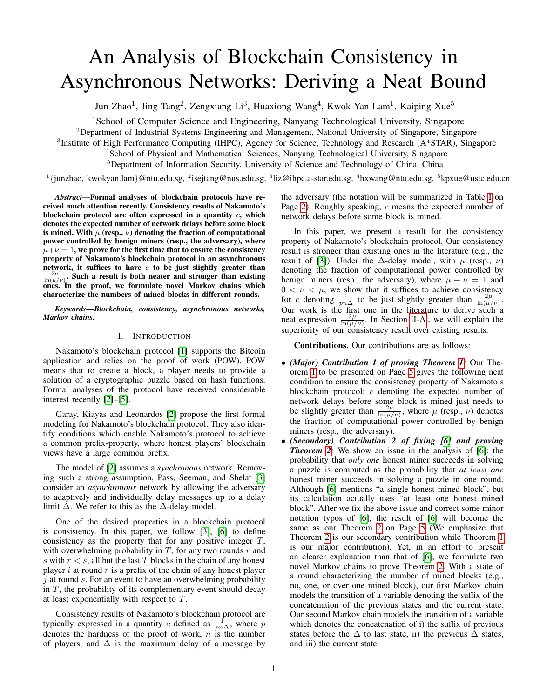# <span id="page-0-0"></span>An Analysis of Blockchain Consistency in Asynchronous Networks: Deriving a Neat Bound

Jun Zhao<sup>1</sup>, Jing Tang<sup>2</sup>, Zengxiang Li<sup>3</sup>, Huaxiong Wang<sup>4</sup>, Kwok-Yan Lam<sup>1</sup>, Kaiping Xue<sup>5</sup>

<sup>1</sup>School of Computer Science and Engineering, Nanyang Technological University, Singapore

<sup>2</sup>Department of Industrial Systems Engineering and Management, National University of Singapore, Singapore

<sup>3</sup>Institute of High Performance Computing (IHPC), Agency for Science, Technology and Research (A\*STAR), Singapore

<sup>4</sup>School of Physical and Mathematical Sciences, Nanyang Technological University, Singapore

<sup>5</sup>Department of Information Security, University of Science and Technology of China, China

<sup>1</sup> {junzhao, kwokyan.lam}@ntu.edu.sg, <sup>2</sup>isejtang@nus.edu.sg, <sup>3</sup>liz@ihpc.a-star.edu.sg, <sup>4</sup>hxwang@ntu.edu.sg, <sup>5</sup>kpxue@ustc.edu.cn

*Abstract*—Formal analyses of blockchain protocols have received much attention recently. Consistency results of Nakamoto's blockchain protocol are often expressed in a quantity  $c$ , which denotes the expected number of network delays before some block is mined. With  $\mu$  (resp.,  $\nu$ ) denoting the fraction of computational power controlled by benign miners (resp., the adversary), where  $\mu+\nu=1$ , we prove for the first time that to ensure the consistency property of Nakamoto's blockchain protocol in an asynchronous network, it suffices to have  $c$  to be just slightly greater than  $\frac{2\mu}{\ln(\mu/\nu)}$ . Such a result is both neater and stronger than existing ones. In the proof, we formulate novel Markov chains which characterize the numbers of mined blocks in different rounds.

*Keywords*—*Blockchain, consistency, asynchronous networks, Markov chains.*

#### I. INTRODUCTION

Nakamoto's blockchain protocol [\[1\]](#page-10-0) supports the Bitcoin application and relies on the proof of work (POW). POW means that to create a block, a player needs to provide a solution of a cryptographic puzzle based on hash functions. Formal analyses of the protocol have received considerable interest recently [\[2\]](#page-10-1)–[\[5\]](#page-10-2).

Garay, Kiayas and Leonardos [\[2\]](#page-10-1) propose the first formal modeling for Nakamoto's blockchain protocol. They also identify conditions which enable Nakamoto's protocol to achieve a common prefix-property, where honest players' blockchain views have a large common prefix.

The model of [\[2\]](#page-10-1) assumes a *synchronous* network. Removing such a strong assumption, Pass, Seeman, and Shelat [\[3\]](#page-10-3) consider an *asynchronous* network by allowing the adversary to adaptively and individually delay messages up to a delay limit  $\Delta$ . We refer to this as the  $\Delta$ -delay model.

One of the desired properties in a blockchain protocol is consistency. In this paper, we follow [\[3\]](#page-10-3), [\[6\]](#page-10-4) to define consistency as the property that for any positive integer T, with overwhelming probability in  $T$ , for any two rounds  $r$  and s with  $r < s$ , all but the last T blocks in the chain of any honest player i at round r is a prefix of the chain of any honest player  $j$  at round s. For an event to have an overwhelming probability in  $T$ , the probability of its complementary event should decay at least exponentially with respect to T.

Consistency results of Nakamoto's blockchain protocol are typically expressed in a quantity c defined as  $\frac{1}{pn\Delta}$ , where p denotes the hardness of the proof of work,  $n$  is the number of players, and  $\Delta$  is the maximum delay of a message by the adversary (the notation will be summarized in Table [I](#page-1-0) on Page [2\)](#page-1-0). Roughly speaking, c means the expected number of network delays before some block is mined.

In this paper, we present a result for the consistency property of Nakamoto's blockchain protocol. Our consistency result is stronger than existing ones in the literature (e.g., the result of [\[3\]](#page-10-3)). Under the  $\Delta$ -delay model, with  $\mu$  (resp.,  $\nu$ ) denoting the fraction of computational power controlled by benign miners (resp., the adversary), where  $\mu + \nu = 1$  and  $0 < \nu < \mu$ , we show that it suffices to achieve consistency for c denoting  $\frac{1}{pn\Delta}$  to be just slightly greater than  $\frac{2\mu}{\ln(\mu/\nu)}$ . Our work is the first one in the literature to derive such a neat expression  $\frac{2\mu}{\ln(\mu/\nu)}$ . In Section [II-A,](#page-1-1), we will explain the superiority of our consistency result over existing results.

Contributions. Our contributions are as follows:

- *(Major) Contribution 1 of proving Theorem [1:](#page-4-0)* Our Theorem [1](#page-4-0) to be presented on Page [5](#page-4-0) gives the following neat condition to ensure the consistency property of Nakamoto's blockchain protocol: c denoting the expected number of network delays before some block is mined just needs to be slightly greater than  $\frac{2\mu}{\ln(\mu/\nu)}$ , where  $\mu$  (resp.,  $\nu$ ) denotes the fraction of computational power controlled by benign miners (resp., the adversary).
- *(Secondary) Contribution 2 of fixing [\[6\]](#page-10-4) and proving Theorem [2:](#page-4-1)* We show an issue in the analysis of [\[6\]](#page-10-4): the probability that *only one* honest miner succeeds in solving a puzzle is computed as the probability that *at least one* honest miner succeeds in solving a puzzle in one round. Although [\[6\]](#page-10-4) mentions "a single honest mined block", but its calculation actually uses "at least one honest mined block". After we fix the above issue and correct some minor notation typos of [\[6\]](#page-10-4), the result of [\[6\]](#page-10-4) will become the same as our Theorem [2](#page-4-1) on Page [5](#page-4-1) (We emphasize that Theorem [2](#page-4-1) is our secondary contribution while Theorem [1](#page-4-0) is our major contribution). Yet, in an effort to present an clearer explanation than that of [\[6\]](#page-10-4), we formulate two novel Markov chains to prove Theorem [2.](#page-4-1) With a state of a round characterizing the number of mined blocks (e.g., no, one, or over one mined block), our first Markov chain models the transition of a variable denoting the suffix of the concatenation of the previous states and the current state. Our second Markov chain models the transition of a variable which denotes the concatenation of i) the suffix of previous states before the  $\Delta$  to last state, ii) the previous  $\Delta$  states, and iii) the current state.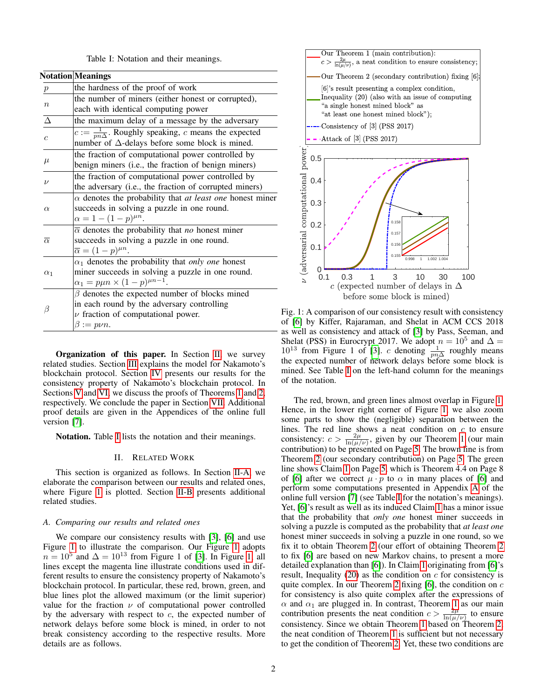|  |  |  |  |  | Table I: Notation and their meanings. |
|--|--|--|--|--|---------------------------------------|
|--|--|--|--|--|---------------------------------------|

<span id="page-1-0"></span>

|                     | <b>Notation Meanings</b>                                                |
|---------------------|-------------------------------------------------------------------------|
| $\,p\,$             | the hardness of the proof of work                                       |
| $\boldsymbol{n}$    | the number of miners (either honest or corrupted),                      |
|                     | each with identical computing power                                     |
| $\Delta$            | the maximum delay of a message by the adversary                         |
| $\mathfrak{c}$      | $c := \frac{1}{pn\Delta}$ . Roughly speaking, c means the expected      |
|                     | number of $\Delta$ -delays before some block is mined.                  |
| $\mu$               | the fraction of computational power controlled by                       |
|                     | benign miners (i.e., the fraction of benign miners)                     |
| $\boldsymbol{\nu}$  | the fraction of computational power controlled by                       |
|                     | the adversary (i.e., the fraction of corrupted miners)                  |
| $\alpha$            | $\alpha$ denotes the probability that <i>at least one</i> honest miner  |
|                     | succeeds in solving a puzzle in one round.                              |
|                     | $\alpha = 1 - (1 - p)^{\mu n}$ .                                        |
| $\overline{\alpha}$ | $\overline{\alpha}$ denotes the probability that <i>no</i> honest miner |
|                     | succeeds in solving a puzzle in one round.                              |
|                     | $\overline{\alpha} = (1-p)^{\mu n}.$                                    |
| $\alpha_1$          | $\alpha_1$ denotes the probability that only one honest                 |
|                     | miner succeeds in solving a puzzle in one round.                        |
|                     | $\alpha_1 = p\mu n \times (1-p)^{\mu n-1}.$                             |
| ß                   | $\beta$ denotes the expected number of blocks mined                     |
|                     | in each round by the adversary controlling                              |
|                     | $\nu$ fraction of computational power.                                  |
|                     | $\beta := p\nu n.$                                                      |
|                     |                                                                         |

Organization of this paper. In Section [II,](#page-1-2) we survey related studies. Section [III](#page-2-0) explains the model for Nakamoto's blockchain protocol. Section [IV](#page-3-0) presents our results for the consistency property of Nakamoto's blockchain protocol. In Sections [V](#page-5-0) and [VI,](#page-7-0) we discuss the proofs of Theorems [1](#page-4-0) and [2,](#page-4-1) respectively. We conclude the paper in Section [VII.](#page-10-5) Additional proof details are given in the Appendices of the online full version [\[7\]](#page-10-6).

<span id="page-1-2"></span>Notation. Table [I](#page-1-0) lists the notation and their meanings.

#### II. RELATED WORK

This section is organized as follows. In Section [II-A,](#page-1-1) we elaborate the comparison between our results and related ones, where Figure [1](#page-1-3) is plotted. Section [II-B](#page-2-1) presents additional related studies.

#### <span id="page-1-1"></span>*A. Comparing our results and related ones*

We compare our consistency results with [\[3\]](#page-10-3), [\[6\]](#page-10-4) and use Figure [1](#page-1-3) to illustrate the comparison. Our Figure [1](#page-1-3) adopts  $n = 10^5$  and  $\Delta = 10^{13}$  from Figure 1 of [\[3\]](#page-10-3). In Figure [1,](#page-1-3) all lines except the magenta line illustrate conditions used in different results to ensure the consistency property of Nakamoto's blockchain protocol. In particular, these red, brown, green, and blue lines plot the allowed maximum (or the limit superior) value for the fraction  $\nu$  of computational power controlled by the adversary with respect to  $c$ , the expected number of network delays before some block is mined, in order to not break consistency according to the respective results. More details are as follows.

<span id="page-1-3"></span>

Fig. 1: A comparison of our consistency result with consistency of [\[6\]](#page-10-4) by Kiffer, Rajaraman, and Shelat in ACM CCS 2018 - as well as consistency and attack of [\[3\]](#page-10-3) by Pass, Seeman, and Shelat (PSS) in Eurocrypt 2017. We adopt  $n = 10^5$  and  $\Delta =$  $10^{13}$  from Figure 1 of [\[3\]](#page-10-3). c denoting  $\frac{1}{pn\Delta}$  roughly means the expected number of network delays before some block is mined. See Table [I](#page-1-0) on the left-hand column for the meanings of the notation.

The red, brown, and green lines almost overlap in Figure [1.](#page-1-3) Hence, in the lower right corner of Figure [1,](#page-1-3) we also zoom some parts to show the (negligible) separation between the lines. The red line shows a neat condition on  $c$  to ensure consistency:  $c > \frac{2\mu}{\ln(\mu/\nu)}$ , given by our Theorem [1](#page-4-0) (our main contribution) to be presented on Page [5.](#page-4-0) The brown line is from Theorem [2](#page-4-1) (our secondary contribution) on Page [5.](#page-4-1) The green line shows Claim [1](#page-5-1) on Page [5,](#page-4-1) which is Theorem 4.4 on Page 8 of [\[6\]](#page-10-4) after we correct  $\mu \cdot p$  to  $\alpha$  in many places of [6] and perform some computations presented in Appendix [A](#page-11-0) of the online full version [\[7\]](#page-10-6) (see Table [I](#page-1-0) for the notation's meanings). Yet, [\[6\]](#page-10-4)'s result as well as its induced Claim [1](#page-5-1) has a minor issue that the probability that *only one* honest miner succeeds in solving a puzzle is computed as the probability that *at least one* honest miner succeeds in solving a puzzle in one round, so we fix it to obtain Theorem [2](#page-4-1) (our effort of obtaining Theorem [2](#page-4-1) to fix [\[6\]](#page-10-4) are based on new Markov chains, to present a more detailed explanation than [\[6\]](#page-10-4)). In Claim [1](#page-5-1) originating from [\[6\]](#page-10-4)'s result, Inequality [\(20\)](#page-5-2) as the condition on  $c$  for consistency is quite complex. In our Theorem [2](#page-4-1) fixing  $[6]$ , the condition on c for consistency is also quite complex after the expressions of  $\alpha$  and  $\alpha_1$  are plugged in. In contrast, Theorem [1](#page-4-0) as our main contribution presents the neat condition  $c > \frac{2\mu}{\ln(\mu/\nu)}$  to ensure consistency. Since we obtain Theorem [1](#page-4-0) based on Theorem [2,](#page-4-1) the neat condition of Theorem [1](#page-4-0) is sufficient but not necessary to get the condition of Theorem [2.](#page-4-1) Yet, these two conditions are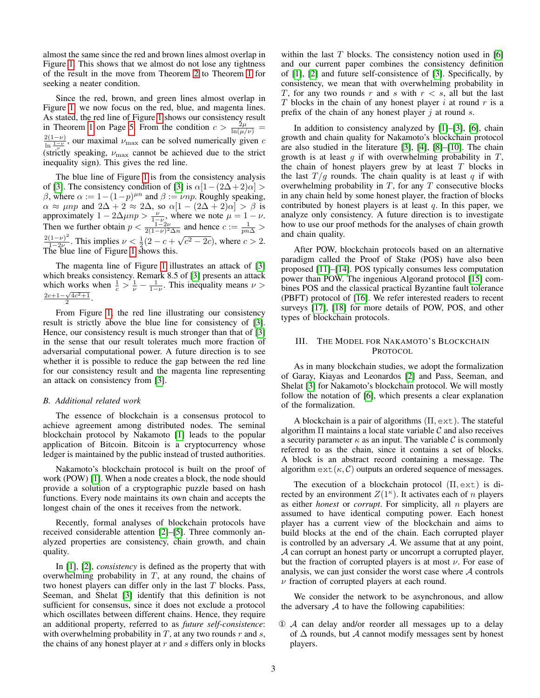almost the same since the red and brown lines almost overlap in Figure [1.](#page-1-3) This shows that we almost do not lose any tightness of the result in the move from Theorem [2](#page-4-1) to Theorem [1](#page-4-0) for seeking a neater condition.

Since the red, brown, and green lines almost overlap in Figure [1,](#page-1-3) we now focus on the red, blue, and magenta lines. As stated, the red line of Figure [1](#page-1-3) shows our consistency result in Theorem [1](#page-4-0) on Page [5.](#page-4-0) From the condition  $c > \frac{2\mu}{\ln(\mu/\nu)}$  $\frac{2(1-\nu)}{\ln \frac{1-\nu}{\nu}}$ , our maximal  $\nu_{\text{max}}$  can be solved numerically given c (strictly speaking,  $\nu_{\text{max}}$  cannot be achieved due to the strict inequality sign). This gives the red line.

The blue line of Figure [1](#page-1-3) is from the consistency analysis of [\[3\]](#page-10-3). The consistency condition of [3] is  $\alpha[1-(2\Delta+2)\alpha] >$ β, where  $\alpha := 1 - (1-p)^{\mu n}$  and  $\beta := \nu np$ . Roughly speaking,  $\alpha \approx \mu np$  and  $2\Delta + 2 \approx 2\Delta$ , so  $\alpha[1 - (2\Delta + 2)\alpha] > \beta$  is approximately  $1 - 2\Delta \mu np > \frac{\nu}{1-\nu}$ , where we note  $\mu = 1 - \nu$ . Then we further obtain  $p < \frac{1-2\nu}{2(1-\nu)^2 \Delta n}$  and hence  $c := \frac{1}{p n \Delta} > 2(1-\nu)^2$ . This implies  $\nu \leq \frac{1}{2} (2-\nu)^2$  where  $\geq 2$ .  $\frac{(1-\nu)^2}{1-2\nu}$ . This implies  $\nu < \frac{1}{2}(2-c+1)$  $\binom{n}{k}$  $\overline{c^2-2c}$ , where  $c > 2$ . The blue line of Figure [1](#page-1-3) shows this.

The magenta line of Figure [1](#page-1-3) illustrates an attack of [\[3\]](#page-10-3) which breaks consistency. Remark 8.5 of [\[3\]](#page-10-3) presents an attack which works when  $\frac{1}{c} > \frac{1}{\nu} - \frac{1}{1-\nu}$ . This inequality means  $\nu >$  $\frac{2c+1-\sqrt{4c^2+1}}{2}$ .

From Figure [1,](#page-1-3) the red line illustrating our consistency result is strictly above the blue line for consistency of [\[3\]](#page-10-3). Hence, our consistency result is much stronger than that of [\[3\]](#page-10-3) in the sense that our result tolerates much more fraction of adversarial computational power. A future direction is to see whether it is possible to reduce the gap between the red line for our consistency result and the magenta line representing an attack on consistency from [\[3\]](#page-10-3).

## <span id="page-2-1"></span>*B. Additional related work*

The essence of blockchain is a consensus protocol to achieve agreement among distributed nodes. The seminal blockchain protocol by Nakamoto [\[1\]](#page-10-0) leads to the popular application of Bitcoin. Bitcoin is a cryptocurrency whose ledger is maintained by the public instead of trusted authorities.

Nakamoto's blockchain protocol is built on the proof of work (POW) [\[1\]](#page-10-0). When a node creates a block, the node should provide a solution of a cryptographic puzzle based on hash functions. Every node maintains its own chain and accepts the longest chain of the ones it receives from the network.

Recently, formal analyses of blockchain protocols have received considerable attention [\[2\]](#page-10-1)–[\[5\]](#page-10-2). Three commonly analyzed properties are consistency, chain growth, and chain quality.

In [\[1\]](#page-10-0), [\[2\]](#page-10-1), *consistency* is defined as the property that with overwhelming probability in  $T$ , at any round, the chains of two honest players can differ only in the last  $T$  blocks. Pass, Seeman, and Shelat [\[3\]](#page-10-3) identify that this definition is not sufficient for consensus, since it does not exclude a protocol which oscillates between different chains. Hence, they require an additional property, referred to as *future self-consistence*: with overwhelming probability in  $T$ , at any two rounds  $r$  and  $s$ , the chains of any honest player at  $r$  and  $s$  differs only in blocks within the last  $T$  blocks. The consistency notion used in [\[6\]](#page-10-4) and our current paper combines the consistency definition of [\[1\]](#page-10-0), [\[2\]](#page-10-1) and future self-consistence of [\[3\]](#page-10-3). Specifically, by consistency, we mean that with overwhelming probability in T, for any two rounds r and s with  $r < s$ , all but the last  $T$  blocks in the chain of any honest player i at round  $r$  is a prefix of the chain of any honest player  $j$  at round  $s$ .

In addition to consistency analyzed by [\[1\]](#page-10-0)–[\[3\]](#page-10-3), [\[6\]](#page-10-4), chain growth and chain quality for Nakamoto's blockchain protocol are also studied in the literature [\[3\]](#page-10-3), [\[4\]](#page-10-7), [\[8\]](#page-10-8)–[\[10\]](#page-10-9). The chain growth is at least  $g$  if with overwhelming probability in  $T$ , the chain of honest players grew by at least  $T$  blocks in the last  $T/q$  rounds. The chain quality is at least q if with overwhelming probability in  $T$ , for any  $T$  consecutive blocks in any chain held by some honest player, the fraction of blocks contributed by honest players is at least  $q$ . In this paper, we analyze only consistency. A future direction is to investigate how to use our proof methods for the analyses of chain growth and chain quality.

After POW, blockchain protocols based on an alternative paradigm called the Proof of Stake (POS) have also been proposed [\[11\]](#page-10-10)–[\[14\]](#page-10-11). POS typically consumes less computation power than POW. The ingenious Algorand protocol [\[15\]](#page-10-12) combines POS and the classical practical Byzantine fault tolerance (PBFT) protocol of [\[16\]](#page-10-13). We refer interested readers to recent surveys [\[17\]](#page-10-14), [\[18\]](#page-10-15) for more details of POW, POS, and other types of blockchain protocols.

# <span id="page-2-0"></span>III. THE MODEL FOR NAKAMOTO'S BLOCKCHAIN PROTOCOL

As in many blockchain studies, we adopt the formalization of Garay, Kiayas and Leonardos [\[2\]](#page-10-1) and Pass, Seeman, and Shelat [\[3\]](#page-10-3) for Nakamoto's blockchain protocol. We will mostly follow the notation of [\[6\]](#page-10-4), which presents a clear explanation of the formalization.

A blockchain is a pair of algorithms  $(\Pi, \text{ext})$ . The stateful algorithm  $\Pi$  maintains a local state variable  $\mathcal C$  and also receives a security parameter  $\kappa$  as an input. The variable C is commonly referred to as the chain, since it contains a set of blocks. A block is an abstract record containing a message. The algorithm  $ext(\kappa, C)$  outputs an ordered sequence of messages.

The execution of a blockchain protocol  $(\Pi, \text{ext})$  is directed by an environment  $Z(1^{\kappa})$ . It activates each of n players as either *honest* or *corrupt*. For simplicity, all n players are assumed to have identical computing power. Each honest player has a current view of the blockchain and aims to build blocks at the end of the chain. Each corrupted player is controlled by an adversary  $A$ . We assume that at any point, A can corrupt an honest party or uncorrupt a corrupted player, but the fraction of corrupted players is at most  $\nu$ . For ease of analysis, we can just consider the worst case where  $A$  controls  $\nu$  fraction of corrupted players at each round.

We consider the network to be asynchronous, and allow the adversary  $A$  to have the following capabilities:

① A can delay and/or reorder all messages up to a delay of  $\Delta$  rounds, but A cannot modify messages sent by honest players.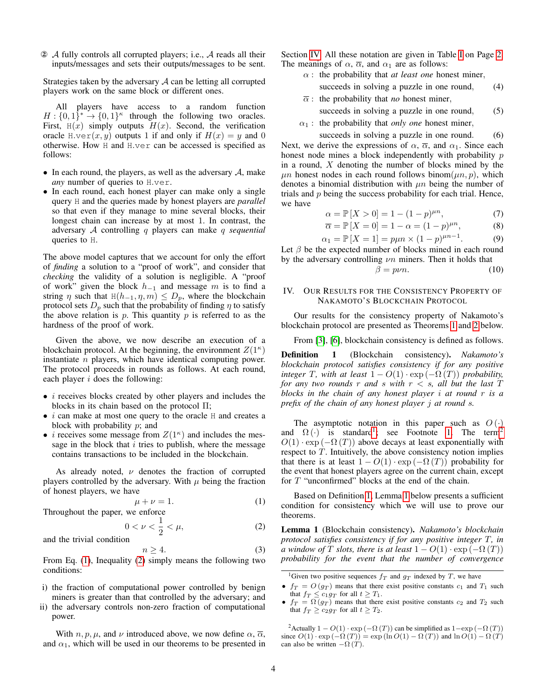② A fully controls all corrupted players; i.e., A reads all their inputs/messages and sets their outputs/messages to be sent.

Strategies taken by the adversary  $A$  can be letting all corrupted players work on the same block or different ones.

All players have access to a random function  $H: \{0,1\}^* \to \{0,1\}^{\kappa}$  through the following two oracles. First,  $H(x)$  simply outputs  $H(x)$ . Second, the verification oracle H.ver $(x, y)$  outputs 1 if and only if  $H(x) = y$  and 0 otherwise. How H and H.ver can be accessed is specified as follows:

- In each round, the players, as well as the adversary  $A$ , make *any* number of queries to H.ver.
- In each round, each honest player can make only a single query H and the queries made by honest players are *parallel* so that even if they manage to mine several blocks, their longest chain can increase by at most 1. In contrast, the adversary A controlling q players can make q *sequential* queries to H.

The above model captures that we account for only the effort of *finding* a solution to a "proof of work", and consider that *checking* the validity of a solution is negligible. A "proof of work" given the block  $h_{-1}$  and message m is to find a string  $\eta$  such that H( $h_{-1}$ ,  $\eta$ ,  $m$ )  $\le D_p$ , where the blockchain protocol sets  $D_p$  such that the probability of finding  $\eta$  to satisfy the above relation is  $p$ . This quantity  $p$  is referred to as the hardness of the proof of work.

Given the above, we now describe an execution of a blockchain protocol. At the beginning, the environment  $Z(1^{\kappa})$ instantiate n players, which have identical computing power. The protocol proceeds in rounds as follows. At each round, each player  $i$  does the following:

- $\bullet$  *i* receives blocks created by other players and includes the blocks in its chain based on the protocol Π;
- $\bullet$  *i* can make at most one query to the oracle  $H$  and creates a block with probability  $p$ ; and
- *i* receives some message from  $Z(1^{\kappa})$  and includes the message in the block that  $i$  tries to publish, where the message contains transactions to be included in the blockchain.

As already noted,  $\nu$  denotes the fraction of corrupted players controlled by the adversary. With  $\mu$  being the fraction of honest players, we have

$$
\mu + \nu = 1. \tag{1}
$$

Throughout the paper, we enforce

$$
0 < \nu < \frac{1}{2} < \mu,\tag{2}
$$

and the trivial condition

$$
n \ge 4. \tag{3}
$$

From Eq. [\(1\)](#page-3-1), Inequality [\(2\)](#page-3-2) simply means the following two conditions:

- i) the fraction of computational power controlled by benign miners is greater than that controlled by the adversary; and
- ii) the adversary controls non-zero fraction of computational power.

With  $n, p, \mu$ , and  $\nu$  introduced above, we now define  $\alpha$ ,  $\overline{\alpha}$ , and  $\alpha_1$ , which will be used in our theorems to be presented in Section [IV.](#page-3-0) All these notation are given in Table [I](#page-1-0) on Page [2.](#page-1-0) The meanings of  $\alpha$ ,  $\overline{\alpha}$ , and  $\alpha_1$  are as follows:

- $\alpha$  : the probability that *at least one* honest miner,
	- succeeds in solving a puzzle in one round, (4)
- $\overline{\alpha}$ : the probability that *no* honest miner, succeeds in solving a puzzle in one round, (5)
- $\alpha_1$ : the probability that *only one* honest miner,

succeeds in solving a puzzle in one round. (6) Next, we derive the expressions of  $\alpha$ ,  $\overline{\alpha}$ , and  $\alpha_1$ . Since each honest node mines a block independently with probability  $p$ in a round,  $X$  denoting the number of blocks mined by the  $\mu$ n honest nodes in each round follows binom $(\mu n, p)$ , which denotes a binomial distribution with  $\mu n$  being the number of trials and  $p$  being the success probability for each trial. Hence, we have

$$
\alpha = \mathbb{P}[X > 0] = 1 - (1 - p)^{\mu n},\tag{7}
$$

$$
\overline{\alpha} = \mathbb{P}[X = 0] = 1 - \alpha = (1 - p)^{\mu n}, \tag{8}
$$

$$
\alpha_1 = \mathbb{P}[X = 1] = p\mu n \times (1 - p)^{\mu n - 1}.
$$
 (9)

Let  $\beta$  be the expected number of blocks mined in each round by the adversary controlling  $\nu n$  miners. Then it holds that

<span id="page-3-6"></span><span id="page-3-5"></span><span id="page-3-4"></span>
$$
\beta = p\nu n. \tag{10}
$$

# <span id="page-3-0"></span>IV. OUR RESULTS FOR THE CONSISTENCY PROPERTY OF NAKAMOTO'S BLOCKCHAIN PROTOCOL

Our results for the consistency property of Nakamoto's blockchain protocol are presented as Theorems [1](#page-4-0) and [2](#page-4-1) below.

From [\[3\]](#page-10-3), [\[6\]](#page-10-4), blockchain consistency is defined as follows.

<span id="page-3-3"></span>Definition 1 (Blockchain consistency). *Nakamoto's blockchain protocol satisfies consistency if for any positive integer* T, with at least  $1 - O(1) \cdot \exp(-\Omega(T))$  *probability, for any two rounds* r *and* s with  $r < s$ , all but the last T *blocks in the chain of any honest player* i *at round* r *is a prefix of the chain of any honest player* j *at round* s*.*

The asymptotic notation in this paper such as  $O(\cdot)$ and  $\Omega(\cdot)$  is standard<sup>[1](#page-0-0)</sup>; see Footnote [1.](#page-3-3) The term<sup>[2](#page-0-0)</sup>  $O(1) \cdot \exp(-\Omega(T))$  above decays at least exponentially with respect to  $T$ . Intuitively, the above consistency notion implies that there is at least  $1 - O(1) \cdot \exp(-\Omega(T))$  probability for the event that honest players agree on the current chain, except for T "unconfirmed" blocks at the end of the chain.

<span id="page-3-1"></span>Based on Definition [1,](#page-3-3) Lemma [1](#page-3-3) below presents a sufficient condition for consistency which we will use to prove our theorems.

<span id="page-3-2"></span>Lemma 1 (Blockchain consistency). *Nakamoto's blockchain protocol satisfies consistency if for any positive integer* T*, in a* window of T *slots, there is at least*  $1 - O(1) \cdot \exp(-\Omega(T))$ *probability for the event that the number of convergence*

<sup>2</sup>Actually  $1 - O(1) \cdot \exp(-\Omega(T))$  can be simplified as  $1 - \exp(-\Omega(T))$ since  $O(1) \cdot \exp(-\Omega(T)) = \exp(\ln O(1) - \Omega(T))$  and  $\ln O(1) - \Omega(T)$ can also be written  $-\Omega(T)$ .

<sup>&</sup>lt;sup>1</sup>Given two positive sequences  $f_T$  and  $g_T$  indexed by T, we have

<sup>•</sup>  $f_T = O(q_T)$  means that there exist positive constants  $c_1$  and  $T_1$  such that  $f_T \leq c_1 g_T$  for all  $t \geq T_1$ .

<sup>•</sup>  $f_T = \Omega(q_T)$  means that there exist positive constants  $c_2$  and  $T_2$  such that  $f_T \ge c_2 g_T$  for all  $t \ge T_2$ .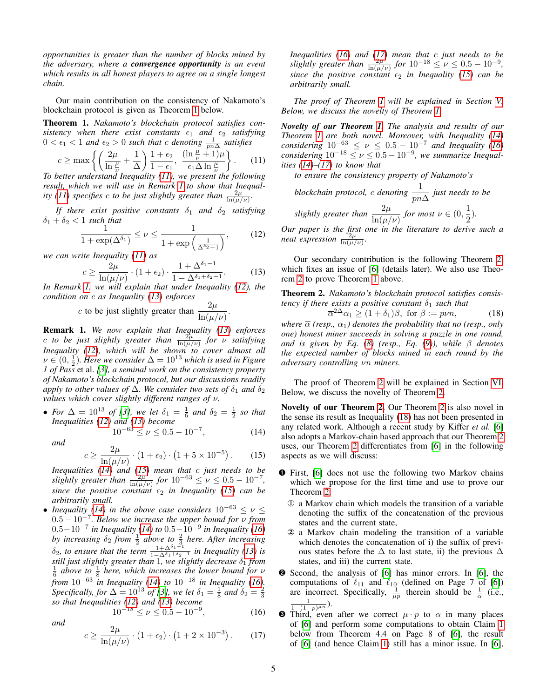*opportunities is greater than the number of blocks mined by the adversary, where a convergence opportunity is an event which results in all honest players to agree on a single longest chain.*

Our main contribution on the consistency of Nakamoto's blockchain protocol is given as Theorem [1](#page-4-0) below.

<span id="page-4-0"></span>Theorem 1. *Nakamoto's blockchain protocol satisfies consistency when there exist constants*  $\epsilon_1$  *and*  $\epsilon_2$  *satisfying*  $0 < \epsilon_1 < 1$  and  $\epsilon_2 > 0$  such that c denoting  $\frac{1}{pn\Delta}$  satisfies

$$
c \ge \max \left\{ \left( \frac{2\mu}{\ln \frac{\mu}{\nu}} + \frac{1}{\Delta} \right) \frac{1 + \epsilon_2}{1 - \epsilon_1}, \frac{(\ln \frac{\mu}{\nu} + 1)\mu}{\epsilon_1 \Delta \ln \frac{\mu}{\nu}} \right\}. \tag{11}
$$

*To better understand Inequality [\(11\)](#page-4-2), we present the following result, which we will use in Remark [1](#page-4-3) to show that Inequality* [\(11\)](#page-4-2) *specifies c to be just slightly greater than*  $\frac{2\mu}{\ln(\mu/\nu)}$ .

*If there exist positive constants*  $\delta_1$  *and*  $\delta_2$  *satisfying*  $\delta_1 + \delta_2 < 1$  *such that* 

$$
\frac{1}{1+\exp(\Delta^{\delta_1})} \le \nu \le \frac{1}{1+\exp\left(\frac{1}{\Delta^{\delta_2}-1}\right)},\tag{12}
$$

we can write Inequality 
$$
(11)
$$
 as

$$
c \ge \frac{2\mu}{\ln(\mu/\nu)} \cdot (1 + \epsilon_2) \cdot \frac{1 + \Delta^{\delta_1 - 1}}{1 - \Delta^{\delta_1 + \delta_2 - 1}}.
$$
 (13)

*In Remark [1,](#page-4-3) we will explain that under Inequality [\(12\)](#page-4-4), the condition on* c *as Inequality [\(13\)](#page-4-5) enforces*

c to be just slightly greater than 
$$
\frac{2\mu}{\ln(\mu/\nu)}
$$
.

<span id="page-4-3"></span>Remark 1. *We now explain that Inequality [\(13\)](#page-4-5) enforces c to be just slightly greater than*  $\frac{2\mu}{\ln(\mu/\nu)}$  *for v satisfying Inequality [\(12\)](#page-4-4), which will be shown to cover almost all*  $\nu \in (0, \frac{1}{2})$ . Here we consider  $\Delta = 10^{13}$  which is used in Figure *1 of Pass* et al. *[\[3\]](#page-10-3), a seminal work on the consistency property of Nakamoto's blockchain protocol, but our discussions readily apply to other values of*  $\Delta$ *. We consider two sets of*  $\delta_1$  *and*  $\delta_2$ *values which cover slightly different ranges of* ν*.*

• *For*  $\Delta = 10^{13}$  *of* [\[3\]](#page-10-3), we let  $\delta_1 = \frac{1}{6}$  and  $\delta_2 = \frac{1}{2}$  so that *Inequalities [\(12\)](#page-4-4) and [\(13\)](#page-4-5) become*

$$
10^{-63} \le \nu \le 0.5 - 10^{-7},\tag{14}
$$

*and*

$$
c \ge \frac{2\mu}{\ln(\mu/\nu)} \cdot (1 + \epsilon_2) \cdot (1 + 5 \times 10^{-5}) \,. \tag{15}
$$

*Inequalities [\(14\)](#page-4-6) and [\(15\)](#page-4-7) mean that* c *just needs to be slightly greater than*  $\frac{2\mu'}{\ln(\mu/\nu)}$  *for*  $10^{-63} \le \nu \le 0.5 - 10^{-7}$ *, since the positive constant*  $\epsilon_2$  *in Inequality [\(15\)](#page-4-7) can be arbitrarily small.*

• *Inequality* [\(14\)](#page-4-6) *in the above case considers*  $10^{-63} \leq \nu \leq$ 0.5 − 10<sup>−</sup><sup>7</sup> *. Below we increase the upper bound for* ν *from* 0.5−10<sup>−</sup><sup>7</sup> *in Inequality [\(14\)](#page-4-6) to* 0.5−10<sup>−</sup><sup>9</sup> *in Inequality [\(16\)](#page-4-8)* by increasing  $\delta_2$  *from*  $\frac{1}{2}$  above to  $\frac{2}{3}$  here. After increasing  $\delta_2$ , *to ensure that the term*  $\frac{1+\Delta^{\delta_1-1}}{1-\Delta^{\delta_1+\delta_2-1}}$  *in Inequality* [\(13\)](#page-4-5) *is still just slightly greater than*  $1$ , we slightly decrease  $\delta_1$  from  $\frac{1}{6}$  above to  $\frac{1}{8}$  here, which increases the lower bound for  $\nu$ *from* 10<sup>−</sup><sup>63</sup> *in Inequality [\(14\)](#page-4-6) to* 10<sup>−</sup><sup>18</sup> *in Inequality [\(16\)](#page-4-8). Specifically, for*  $\Delta = 10^{13}$  *of* [\[3\]](#page-10-3)*, we let*  $\delta_1 = \frac{1}{8}$  *and*  $\delta_2 = \frac{2}{3}$ *so that Inequalities [\(12\)](#page-4-4) and [\(13\)](#page-4-5) become*  $10^{-18} \leq \nu \leq 0.5 - 10^{-9}$  $(16)$ 

*and*

$$
c \ge \frac{2\mu}{\ln(\mu/\nu)} \cdot (1 + \epsilon_2) \cdot (1 + 2 \times 10^{-3}) \,. \tag{17}
$$

*Inequalities [\(16\)](#page-4-8) and [\(17\)](#page-4-9) mean that* c *just needs to be slightly greater than*  $\frac{2\mu}{\ln(\mu/\nu)}$  *for*  $10^{-18} \le \nu \le 0.5 - 10^{-9}$ *, since the positive constant*  $\epsilon_2$  *in Inequality [\(15\)](#page-4-7) can be arbitrarily small.*

*The proof of Theorem [1](#page-4-0) will be explained in Section [V.](#page-5-0) Below, we discuss the novelty of Theorem [1.](#page-4-0)*

<span id="page-4-2"></span>*Novelty of our Theorem [1.](#page-4-0) The analysis and results of our Theorem [1](#page-4-0) are both novel. Moreover, with Inequality [\(14\)](#page-4-6) considering*  $10^{-63} \le \nu \le 0.5 - 10^{-7}$  *and Inequality* [\(16\)](#page-4-8)  $considering$   $10^{-18} \le \nu \le 0.5 - 10^{-9}$ , we summarize Inequal*ities [\(14\)](#page-4-6)–[\(17\)](#page-4-9) to know that*

*to ensure the consistency property of Nakamoto's*

blockchain protocol, c denoting 
$$
\frac{1}{pn\Delta}
$$
 just needs to be  
slightly greater than  $\frac{2\mu}{\ln(\mu/\nu)}$  for most  $\nu \in (0, \frac{1}{2})$ .

<span id="page-4-4"></span>*Our paper is the first one in the literature to derive such a neat expression*  $\frac{2\mu}{\ln(\mu/\nu)}$ .

<span id="page-4-5"></span>Our secondary contribution is the following Theorem [2,](#page-4-1) which fixes an issue of [\[6\]](#page-10-4) (details later). We also use Theorem [2](#page-4-1) to prove Theorem [1](#page-4-0) above.

<span id="page-4-1"></span>Theorem 2. *Nakamoto's blockchain protocol satisfies consistency if there exists a positive constant*  $\delta_1$  *such that* 

<span id="page-4-10"></span>
$$
\overline{\alpha}^{2\Delta}\alpha_1 \ge (1+\delta_1)\beta, \text{ for } \beta := p\nu n,\tag{18}
$$

*where*  $\bar{\alpha}$  *(resp.,*  $\alpha_1$ *) denotes the probability that no (resp., only one) honest miner succeeds in solving a puzzle in one round, and is given by Eq.*  $(8)$  (resp., Eq.  $(9)$ ), while  $\beta$  denotes *the expected number of blocks mined in each round by the adversary controlling* νn *miners.*

The proof of Theorem [2](#page-4-1) will be explained in Section [VI.](#page-7-0) Below, we discuss the novelty of Theorem [2.](#page-4-1)

<span id="page-4-6"></span>Novelty of our Theorem [2.](#page-4-1) Our Theorem [2](#page-4-1) is also novel in the sense its result as Inequality [\(18\)](#page-4-10) has not been presented in any related work. Although a recent study by Kiffer *et al.* [\[6\]](#page-10-4) also adopts a Markov-chain based approach that our Theorem [2](#page-4-1) uses, our Theorem [2](#page-4-1) differentiates from [\[6\]](#page-10-4) in the following aspects as we will discuss:

- <span id="page-4-7"></span>➊ First, [\[6\]](#page-10-4) does not use the following two Markov chains which we propose for the first time and use to prove our Theorem [2:](#page-4-1)
	- ① a Markov chain which models the transition of a variable denoting the suffix of the concatenation of the previous states and the current state,
	- ② a Markov chain modeling the transition of a variable which denotes the concatenation of i) the suffix of previous states before the  $\Delta$  to last state, ii) the previous  $\Delta$ states, and iii) the current state.
- ➋ Second, the analysis of [\[6\]](#page-10-4) has minor errors. In [\[6\]](#page-10-4), the computations of  $\ell_{11}$  and  $\ell_{10}$  (defined on Page 7 of [\[6\]](#page-10-4)) are incorrect. Specifically,  $\frac{1}{\mu p}$  therein should be  $\frac{1}{\alpha}$  (i.e.,  $\frac{1}{1-(1-p)^{\mu n}}$ ).
- <span id="page-4-9"></span><span id="page-4-8"></span>**O** Third, even after we correct  $\mu \cdot p$  to  $\alpha$  in many places of [\[6\]](#page-10-4) and perform some computations to obtain Claim [1](#page-5-1) below from Theorem 4.4 on Page 8 of [\[6\]](#page-10-4), the result of [\[6\]](#page-10-4) (and hence Claim [1\)](#page-5-1) still has a minor issue. In [\[6\]](#page-10-4),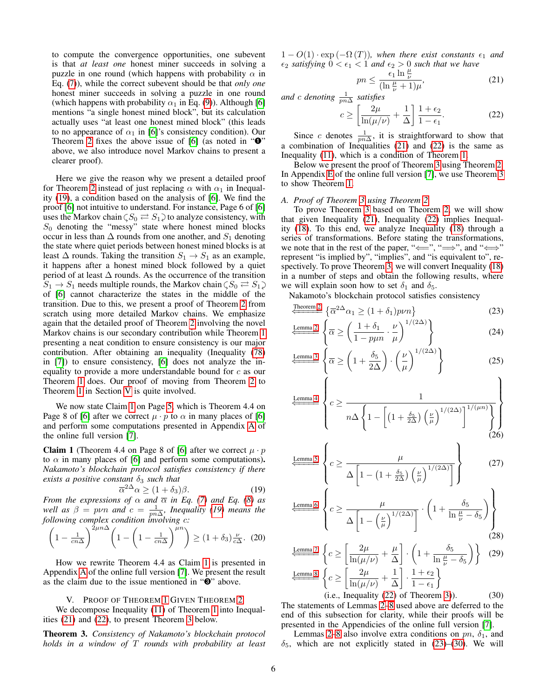to compute the convergence opportunities, one subevent is that *at least one* honest miner succeeds in solving a puzzle in one round (which happens with probability  $\alpha$  in Eq. [\(7\)](#page-3-6)), while the correct subevent should be that *only one* honest miner succeeds in solving a puzzle in one round (which happens with probability  $\alpha_1$  in Eq. [\(9\)](#page-3-5)). Although [\[6\]](#page-10-4) mentions "a single honest mined block", but its calculation actually uses "at least one honest mined block" (this leads to no appearance of  $\alpha_1$  in [\[6\]](#page-10-4)'s consistency condition). Our Theorem [2](#page-4-1) fixes the above issue of [\[6\]](#page-10-4) (as noted in " $\mathbf{0}$ " above, we also introduce novel Markov chains to present a clearer proof).

Here we give the reason why we present a detailed proof for Theorem [2](#page-4-1) instead of just replacing  $\alpha$  with  $\alpha_1$  in Inequality [\(19\)](#page-5-3), a condition based on the analysis of [\[6\]](#page-10-4). We find the proof [\[6\]](#page-10-4) not intuitive to understand. For instance, Page 6 of [\[6\]](#page-10-4) uses the Markov chain  $\zeta S_0 \rightleftarrows S_1$  to analyze consistency, with  $S_0$  denoting the "messy" state where honest mined blocks occur in less than  $\Delta$  rounds from one another, and  $S_1$  denoting the state where quiet periods between honest mined blocks is at least  $\Delta$  rounds. Taking the transition  $S_1 \rightarrow S_1$  as an example, it happens after a honest mined block followed by a quiet period of at least  $\Delta$  rounds. As the occurrence of the transition  $S_1 \rightarrow S_1$  needs multiple rounds, the Markov chain  $\zeta S_0 \rightleftarrows S_1$ of [\[6\]](#page-10-4) cannot characterize the states in the middle of the transition. Due to this, we present a proof of Theorem [2](#page-4-1) from scratch using more detailed Markov chains. We emphasize again that the detailed proof of Theorem [2](#page-4-1) involving the novel Markov chains is our secondary contribution while Theorem [1](#page-4-0) presenting a neat condition to ensure consistency is our major contribution. After obtaining an inequality (Inequality [\(78\)](#page-11-1) in [\[7\]](#page-10-6)) to ensure consistency, [\[6\]](#page-10-4) does not analyze the inequality to provide a more understandable bound for c as our Theorem [1](#page-4-0) does. Our proof of moving from Theorem [2](#page-4-1) to Theorem [1](#page-4-0) in Section [V](#page-5-0) is quite involved.

We now state Claim [1](#page-5-1) on Page [5,](#page-4-1) which is Theorem 4.4 on Page 8 of [\[6\]](#page-10-4) after we correct  $\mu \cdot p$  to  $\alpha$  in many places of [6] and perform some computations presented in Appendix [A](#page-11-0) of the online full version [\[7\]](#page-10-6).

<span id="page-5-1"></span>**Claim 1** (Theorem 4.4 on Page 8 of [\[6\]](#page-10-4) after we correct  $\mu \cdot p$ to  $\alpha$  in many places of [\[6\]](#page-10-4) and perform some computations). *Nakamoto's blockchain protocol satisfies consistency if there exists a positive constant*  $\delta_3$  *such that* 

$$
\overline{\alpha}^{2\Delta}\alpha \ge (1+\delta_3)\beta. \tag{19}
$$

*From the expressions of*  $\alpha$  *and*  $\overline{\alpha}$  *in Eq.* [\(7\)](#page-3-6) *and Eq.* [\(8\)](#page-3-4) *as well as*  $\beta = p\nu n$  *and*  $c = \frac{1}{p n \Delta}$ *, Inequality [\(19\)](#page-5-3) means the following complex condition involving* c*:*

$$
\left(1 - \frac{1}{cn\Delta}\right)^{2\mu n\Delta} \left(1 - \left(1 - \frac{1}{cn\Delta}\right)^{\mu n}\right) \ge (1 + \delta_3) \frac{\nu}{c\Delta}.\tag{20}
$$

How we rewrite Theorem 4.4 as Claim [1](#page-5-1) is presented in Appendix [A](#page-11-0) of the online full version [\[7\]](#page-10-6). We present the result as the claim due to the issue mentioned in "➌" above.

#### V. PROOF OF THEOREM [1](#page-4-0) GIVEN THEOREM [2](#page-4-1)

<span id="page-5-0"></span>We decompose Inequality [\(11\)](#page-4-2) of Theorem [1](#page-4-0) into Inequalities [\(21\)](#page-5-4) and [\(22\)](#page-5-5), to present Theorem [3](#page-5-6) below.

<span id="page-5-6"></span>Theorem 3. *Consistency of Nakamoto's blockchain protocol holds in a window of* T *rounds with probability at least*  $1 - O(1) \cdot \exp(-\Omega(T))$ , when there exist constants  $\epsilon_1$  and  $\epsilon_2$  *satisfying*  $0 < \epsilon_1 < 1$  *and*  $\epsilon_2 > 0$  *such that we have* 

<span id="page-5-5"></span><span id="page-5-4"></span>
$$
pn \le \frac{\epsilon_1 \ln \frac{\mu}{\nu}}{(\ln \frac{\mu}{\nu} + 1)\mu},\tag{21}
$$

and  $c$  denoting  $\frac{1}{pn\Delta}$  satisfies

$$
c \ge \left[\frac{2\mu}{\ln(\mu/\nu)} + \frac{1}{\Delta}\right] \frac{1 + \epsilon_2}{1 - \epsilon_1}.
$$
 (22)

Since c denotes  $\frac{1}{pn\Delta}$ , it is straightforward to show that a combination of Inequalities [\(21\)](#page-5-4) and [\(22\)](#page-5-5) is the same as Inequality [\(11\)](#page-4-2), which is a condition of Theorem [1.](#page-4-0)

Below we present the proof of Theorem [3](#page-5-6) using Theorem [2.](#page-4-1) In Appendix [E](#page-13-0) of the online full version [\[7\]](#page-10-6), we use Theorem [3](#page-5-6) to show Theorem [1.](#page-4-0)

# *A. Proof of Theorem [3](#page-5-6) using Theorem [2](#page-4-1)*

To prove Theorem [3](#page-5-6) based on Theorem [2,](#page-4-1) we will show that given Inequality [\(21\)](#page-5-4), Inequality [\(22\)](#page-5-5) implies Inequality [\(18\)](#page-4-10). To this end, we analyze Inequality [\(18\)](#page-4-10) through a series of transformations. Before stating the transformations, we note that in the rest of the paper, " $\Longleftrightarrow$ ", " $\Longrightarrow$ ", and " $\Longleftrightarrow$ " represent "is implied by", "implies", and "is equivalent to", respectively. To prove Theorem [3,](#page-5-6) we will convert Inequality [\(18\)](#page-4-10) in a number of steps and obtain the following results, where we will explain soon how to set  $\delta_1$  and  $\delta_5$ .

Nakamoto's blockchain protocol satisfies consistency

<span id="page-5-7"></span>
$$
\underbrace{\frac{\text{Theorem 2}}{\left(\overline{\alpha}^{2\Delta}\alpha_{1}\geq(1+\delta_{1})p\nu n\right)}}_{\text{C}}\tag{23}
$$

<span id="page-5-12"></span>
$$
\underbrace{\text{Lemma 2}}_{\text{Lemma 2}} \left\{ \overline{\alpha} \ge \left( \frac{1 + \delta_1}{1 - p\mu n} \cdot \frac{\nu}{\mu} \right)^{1/(2\Delta)} \right\} \tag{24}
$$

<span id="page-5-11"></span>
$$
\frac{\text{Lemma 3}}{\left(\overline{\alpha} \ge \left(1 + \frac{\delta_5}{2\Delta}\right) \cdot \left(\frac{\nu}{\mu}\right)^{1/(2\Delta)}\right)}
$$
(25)

$$
\left\{\frac{\text{Lemma 4}}{n\Delta\left\{1-\left[\left(1+\frac{\delta_5}{2\Delta}\right)\left(\frac{\nu}{\mu}\right)^{1/(2\Delta)}\right]^{1/(\mu n)}\right\}}\right\}
$$
(26)

<span id="page-5-14"></span><span id="page-5-13"></span>
$$
\frac{\text{Lemma 5}}{\left\{c \ge \frac{\mu}{\Delta \left[1 - \left(1 + \frac{\delta_5}{2\Delta}\right) \left(\frac{\nu}{\mu}\right)^{1/(2\Delta)}\right]}\right\}}\tag{27}
$$

<span id="page-5-3"></span>
$$
\underbrace{\frac{\text{Lemma 6}}{\Delta \left[1 - \left(\frac{\nu}{\mu}\right)^{1/(2\Delta)}\right]}} \cdot \left(1 + \frac{\delta_5}{\ln \frac{\mu}{\nu} - \delta_5}\right) \right\}
$$
\n(28)

<span id="page-5-10"></span><span id="page-5-9"></span><span id="page-5-8"></span><span id="page-5-2"></span>
$$
\frac{\text{Lemma 7}}{\text{Lemma 8}} \left\{ c \ge \left[ \frac{2\mu}{\ln(\mu/\nu)} + \frac{\mu}{\Delta} \right] \cdot \left( 1 + \frac{\delta_5}{\ln \frac{\mu}{\nu} - \delta_5} \right) \right\} \tag{29}
$$
\n
$$
\frac{\text{Lemma 8}}{\text{Lemma 8}} \left\{ c \ge \left[ \frac{2\mu}{\ln(\mu/\nu)} + \frac{1}{\Delta} \right] \cdot \frac{1 + \epsilon_2}{1 - \epsilon_1} \right\}
$$

 $(i.e., Inequality (22) of Theorem 3).$  $(i.e., Inequality (22) of Theorem 3).$  $(i.e., Inequality (22) of Theorem 3).$  $(i.e., Inequality (22) of Theorem 3).$  $(i.e., Inequality (22) of Theorem 3).$  (30) The statements of Lemmas [2](#page-6-0)[–8](#page-7-4) used above are deferred to the end of this subsection for clarity, while their proofs will be presented in the Appendicies of the online full version [\[7\]](#page-10-6).

Lemmas [2](#page-6-0)[–8](#page-7-4) also involve extra conditions on  $pn$ ,  $\delta_1$ , and  $\delta_5$ , which are not explicitly stated in [\(23\)](#page-5-7)–[\(30\)](#page-5-8). We will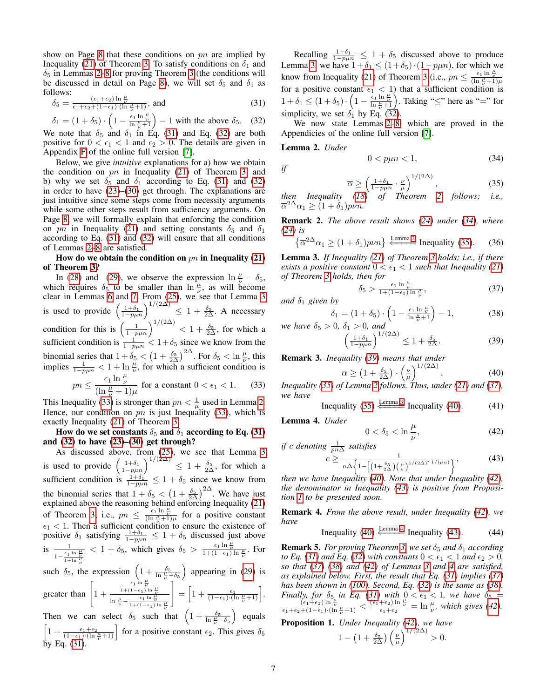show on Page [8](#page-7-5) that these conditions on  $pn$  are implied by Inequality [\(21\)](#page-5-4) of Theorem [3.](#page-5-6) To satisfy conditions on  $\delta_1$  and  $\delta_5$  in Lemmas [2](#page-6-0)[–8](#page-7-4) for proving Theorem [3](#page-5-6) (the conditions will be discussed in detail on Page [8\)](#page-7-5), we will set  $\delta_5$  and  $\delta_1$  as follows:

$$
\delta_5 = \frac{(\epsilon_1 + \epsilon_2) \ln \frac{\mu}{\nu}}{\epsilon_1 + \epsilon_2 + (1 - \epsilon_1) \cdot (\ln \frac{\mu}{\nu} + 1)}, \text{ and } (31)
$$

 $\delta_1 = (1 + \delta_5) \cdot \left(1 - \frac{\epsilon_1 \ln \frac{\mu}{\nu}}{\ln \frac{\mu}{\nu} + 1}\right) - 1$  with the above  $\delta_5$ . (32) We note that  $\delta_5$  and  $\delta_1$  in Eq. [\(31\)](#page-6-3) and Eq. [\(32\)](#page-6-4) are both

positive for  $0 < \epsilon_1 < 1$  and  $\epsilon_2 > 0$ . The details are given in Appendix [F](#page-13-1) of the online full version [\[7\]](#page-10-6).

Below, we give *intuitive* explanations for a) how we obtain the condition on  $pn$  in Inequality [\(21\)](#page-5-4) of Theorem [3,](#page-5-6) and b) why we set  $\delta_5$  and  $\delta_1$  according to Eq. [\(31\)](#page-6-3) and [\(32\)](#page-6-4) in order to have [\(23\)](#page-5-7)–[\(30\)](#page-5-8) get through. The explanations are just intuitive since some steps come from necessity arguments while some other steps result from sufficiency arguments. On Page [8,](#page-7-5) we will formally explain that enforcing the condition on pn in Inequality [\(21\)](#page-5-4) and setting constants  $\delta_5$  and  $\delta_1$ according to Eq. [\(31\)](#page-6-3) and [\(32\)](#page-6-4) will ensure that all conditions of Lemmas [2–](#page-6-0)[8](#page-7-4) are satisfied.

# How do we obtain the condition on  $pn$  in Inequality [\(21\)](#page-5-4) of Theorem [3?](#page-5-6)

In [\(28\)](#page-5-9) and [\(29\)](#page-5-10), we observe the expression  $\ln \frac{\mu}{\nu} - \delta_5$ , which requires  $\delta_5$  to be smaller than  $\ln \frac{\mu}{\nu}$ , as will become clear in Lemmas [6](#page-7-2) and [7.](#page-7-3) From [\(25\)](#page-5-11), we see that Lemma [3](#page-6-1) is used to provide  $\left(\frac{1+\delta_1}{1-p\mu n}\right)^{1/(2\Delta)} \leq 1+\frac{\delta_5}{2\Delta}$ . A necessary condition for this is  $\left(\frac{1}{1-p\mu n}\right)^{1/(2\Delta)} < 1+\frac{\delta_5}{2\Delta}$ , for which a sufficient condition is  $\frac{1}{1-p\mu n} < 1+\delta_5$  since we know from the binomial series that  $1 + \delta_5 < (1 + \frac{\delta_5}{2\Delta})^{2\Delta}$ . For  $\delta_5 < \ln \frac{\mu}{\nu}$ , this implies  $\frac{1}{1-p\mu n} < 1 + \ln \frac{\mu}{\nu}$ , for which a sufficient condition is  $pn \leq \frac{\epsilon_1 \ln \frac{\mu}{\nu}}{(\ln \frac{\mu}{\nu} + 1)\mu}$  for a constant  $0 < \epsilon_1 < 1.$  (33)

This Inequality [\(33\)](#page-6-5) is stronger than  $pn < \frac{1}{\mu}$  used in Lemma [2.](#page-6-0) Hence, our condition on  $pn$  is just Inequality [\(33\)](#page-6-5), which is exactly Inequality [\(21\)](#page-5-4) of Theorem [3.](#page-5-6)

How do we set constants  $\delta_5$  and  $\delta_1$  according to Eq. [\(31\)](#page-6-3) and [\(32\)](#page-6-4) to have [\(23\)](#page-5-7)–[\(30\)](#page-5-8) get through?

As discussed above, from [\(25\)](#page-5-11), we see that Lemma [3](#page-6-1) is used to provide  $\left(\frac{1+\delta_1}{1-p\mu n}\right)^{1/(2\Delta)} \leq 1+\frac{\delta_5}{2\Delta}$ , for which a sufficient condition is  $\frac{1+\delta_1}{1-p\mu n} \leq 1+\delta_5$  since we know from the binomial series that  $1 + \delta_5 < (1 + \frac{\delta_5}{2\Delta})^{2\Delta}$ . We have just explained above the reasoning behind enforcing Inequality [\(21\)](#page-5-4) of Theorem [3;](#page-5-6) i.e.,  $pn \leq \frac{\epsilon_1 \ln \frac{\mu}{\nu}}{(\ln \frac{\mu}{\nu} + 1)\mu}$  for a positive constant  $\epsilon_1$  < 1. Then a sufficient condition to ensure the existence of positive  $\delta_1$  satisfying  $\frac{1+\delta_1}{1-p\mu n} \leq 1+\delta_5$  discussed just above is  $\frac{1}{1-\frac{\epsilon_1 \ln \frac{\mu}{\nu}}{1+\ln \frac{\mu}{\nu}}}$  $< 1 + \delta_5$ , which gives  $\delta_5 > \frac{\epsilon_1 \ln \frac{\mu}{\nu}}{1 + (1 - \epsilon_1) \ln \frac{\mu}{\nu}}$ . For

such  $\delta_5$ , the expression  $\left(1 + \frac{\delta_5}{\ln \frac{\mu}{\nu} - \delta_5}\right)$ ) appearing in  $(29)$  is

$$
\text{greater than } \left[1 + \frac{\frac{\epsilon_1 \ln \frac{\mu}{\mu}}{1 + (1 - \epsilon_1) \ln \frac{\mu}{\mu}}}{\ln \frac{\mu}{\nu} - \frac{\epsilon_1 \ln \frac{\mu}{\mu}}{1 + (1 - \epsilon_1) \ln \frac{\mu}{\mu}}}\right] = \left[1 + \frac{\epsilon_1}{(1 - \epsilon_1) \cdot (\ln \frac{\mu}{\nu} + 1)}\right].
$$

Then we can select  $\delta_5$  such that  $\left(1 + \frac{\delta_5}{\ln \frac{\mu}{\epsilon} - \delta_5}\right)$  equals  $\frac{\mu}{\nu}$  –  $\delta_5$  $\left[1 + \frac{\epsilon_1 + \epsilon_2}{(1 - \epsilon_1) \cdot (\ln \frac{\mu}{\nu} + 1)}\right]$  for a positive constant  $\epsilon_2$ . This gives  $\delta_5$ by Eq. [\(31\)](#page-6-3).

Recalling  $\frac{1+\delta_1}{1-p\mu n} \leq 1+\delta_5$  discussed above to produce Lemma [3,](#page-6-1) we have  $1+\delta_1 \leq (1+\delta_5) \cdot (1-p\mu n)$ , for which we know from Inequality [\(21\)](#page-5-4) of Theorem [3](#page-5-6) (i.e.,  $pn \leq \frac{\epsilon_1 \ln \frac{\mu}{\nu}}{(\ln \frac{\mu}{\nu} + 1)\mu}$ for a positive constant  $\epsilon_1 < 1$ ) that a sufficient condition is  $1 + \delta_1 \leq (1 + \delta_5) \cdot \left(1 - \frac{\epsilon_1 \ln \frac{\mu}{\nu}}{\ln \frac{\mu}{\nu} + 1}\right)$ . Taking " $\leq$ " here as "=" for simplicity, we set  $\delta_1$  by Eq. [\(32\)](#page-6-4).

<span id="page-6-4"></span><span id="page-6-3"></span>We now state Lemmas [2](#page-6-0)[–8,](#page-7-4) which are proved in the Appendicies of the online full version [\[7\]](#page-10-6).

#### <span id="page-6-0"></span>Lemma 2. *Under*

*if*

<span id="page-6-6"></span>
$$
0 < p\mu n < 1,\tag{34}
$$

<span id="page-6-15"></span><span id="page-6-7"></span>
$$
\overline{\alpha} \ge \left(\frac{1+\delta_1}{1-p\mu n} \cdot \frac{\nu}{\mu}\right)^{1/(2\Delta)},\tag{35}
$$

*then Inequality [\(18\)](#page-4-10) of Theorem [2](#page-4-1) follows; i.e.,*  $\overline{\alpha}^{2\Delta}\alpha_1 \geq (1+\dot{\delta}_1) p\nu n.$ 

Remark 2. *The above result shows [\(24\)](#page-5-12) under [\(34\)](#page-6-6), where [\(24\)](#page-5-12) is*

$$
\left\{ \overline{\alpha}^{2\Delta}\alpha_{1} \ge (1+\delta_{1})p\nu n \right\} \xrightarrow{\text{Lemma 2}} \text{Inequality (35).} \tag{36}
$$

<span id="page-6-1"></span>Lemma 3. *If Inequality [\(21\)](#page-5-4) of Theorem [3](#page-5-6) holds; i.e., if there exists a positive constant*  $0 < \epsilon_1 < 1$  *such that Inequality [\(21\)](#page-5-4) of Theorem [3](#page-5-6) holds, then for*

$$
\delta_5 > \frac{\epsilon_1 \ln \frac{\mu}{\nu}}{1 + (1 - \epsilon_1) \ln \frac{\mu}{\nu}},\tag{37}
$$

*and*  $\delta_1$  *given by* 

<span id="page-6-9"></span>
$$
\delta_1 = (1 + \delta_5) \cdot \left(1 - \frac{\epsilon_1 \ln \frac{\mu}{\nu}}{\ln \frac{\mu}{\nu} + 1}\right) - 1,\tag{38}
$$

*we have*  $\delta_5 > 0$ ,  $\delta_1 > 0$ , and  $\left(\frac{1+\delta_1}{1-p\mu n}\right)^{1/(2\Delta)} \leq 1 + \frac{\delta_5}{2\Delta}.$  (39)

Remark 3. *Inequality [\(39\)](#page-6-8) means that under*

<span id="page-6-14"></span><span id="page-6-8"></span>
$$
\overline{\alpha} \ge \left(1 + \frac{\delta_5}{2\Delta}\right) \cdot \left(\frac{\nu}{\mu}\right)^{1/(2\Delta)},\tag{40}
$$

<span id="page-6-5"></span>*Inequality [\(35\)](#page-6-7) of Lemma [2](#page-6-0) follows. Thus, under [\(21\)](#page-5-4) and [\(37\)](#page-6-9), we have*

Inequality (35) 
$$
\xleftarrow{\text{Lemma 3}}
$$
 Inequality (40). (41)

<span id="page-6-2"></span>Lemma 4. *Under*

<span id="page-6-17"></span><span id="page-6-16"></span><span id="page-6-12"></span><span id="page-6-11"></span><span id="page-6-10"></span>
$$
0 < \delta_5 < \ln \frac{\mu}{\nu},\tag{42}
$$

if c denoting 
$$
\frac{1}{pn\Delta}
$$
 satisfies  
\n
$$
c \ge \frac{1}{n\Delta \left\{1 - \left[\left(1 + \frac{\delta_5}{2\Delta}\right)\left(\frac{\nu}{\mu}\right)^{1/(2\Delta)}\right]^{1/(\mu n)}\right\}},
$$
\n(43)

*then we have Inequality [\(40\)](#page-6-10). Note that under Inequality [\(42\)](#page-6-11), the denominator in Inequality [\(43\)](#page-6-12) is positive from Proposition [1](#page-6-13) to be presented soon.*

Remark 4. *From the above result, under Inequality [\(42\)](#page-6-11), we have*

Inequality (40) 
$$
\stackrel{\text{Lemma 4}}{\Longleftarrow}
$$
 Inequality (43). (44)

**Remark 5.** *For proving Theorem [3,](#page-5-6) we set*  $\delta_5$  *and*  $\delta_1$  *according to Eq.* [\(31\)](#page-6-3) and Eq. [\(32\)](#page-6-4) with constants  $0 < \epsilon_1 < 1$  and  $\epsilon_2 > 0$ , *so that [\(37\)](#page-6-9) [\(38\)](#page-6-14) and [\(42\)](#page-6-11) of Lemmas [3](#page-6-1) and [4](#page-6-2) are satisfied, as explained below. First, the result that Eq. [\(31\)](#page-6-3) implies [\(37\)](#page-6-9) has been shown in [\(100\)](#page-13-2). Second, Eq. [\(32\)](#page-6-4) is the same as [\(38\)](#page-6-14). Finally, for*  $\delta_5$  *in Eq.* [\(31\)](#page-6-3) *with*  $0 < \epsilon_1 < 1$ , *we have*  $\delta_5 = \frac{(\epsilon_1 + \epsilon_2) \ln \frac{\mu}{\nu}}{\epsilon_1 + \epsilon_2 + (1 - \epsilon_1) \cdot (\ln \frac{\mu}{\nu} + 1)} < \frac{(\epsilon_1 + \epsilon_2) \ln \frac{\mu}{\nu}}{\epsilon_1 + \epsilon_2} = \ln \frac{\mu}{\nu}$ , *which gives [\(42\)](#page-6-11).* 

<span id="page-6-13"></span>Proposition 1. *Under Inequality [\(42\)](#page-6-11), we have*

$$
1 - \left(1 + \frac{\delta_5}{2\Delta}\right) \left(\frac{\nu}{\mu}\right)^{1/(2\Delta)} > 0.
$$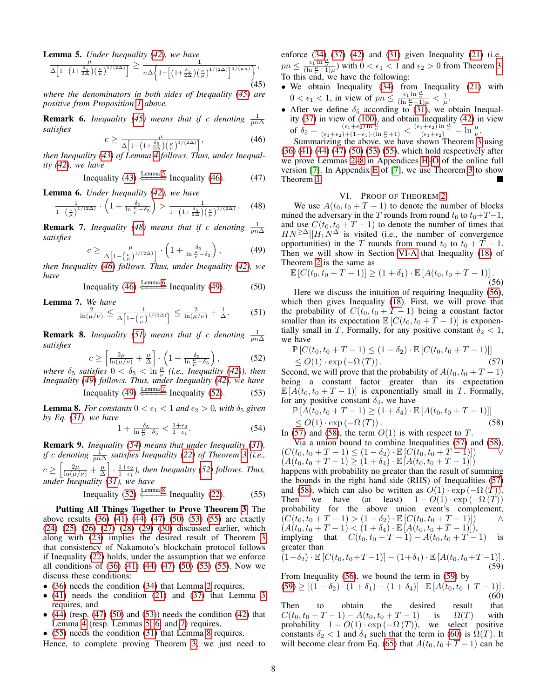<span id="page-7-1"></span>Lemma 5. *Under Inequality [\(42\)](#page-6-11), we have*

$$
\frac{\mu}{\Delta\left[1-\left(1+\frac{\delta_5}{2\Delta}\right)\left(\frac{\nu}{\mu}\right)^{1/(2\Delta)}\right]} \ge \frac{1}{n\Delta\left\{1-\left[\left(1+\frac{\delta_5}{2\Delta}\right)\left(\frac{\nu}{\mu}\right)^{1/(2\Delta)}\right]^{1/(\mu n)}\right\}},\tag{45}
$$

*where the denominators in both sides of Inequality [\(45\)](#page-7-6) are positive from Proposition [1](#page-6-13) above.*

**Remark 6.** *Inequality* [\(45\)](#page-7-6) *means that if* c *denoting*  $\frac{1}{pn\Delta}$ *satisfies*

$$
c \ge \frac{\mu}{\Delta \left[1 - \left(1 + \frac{\delta_5}{2\Delta}\right) \left(\frac{\mu}{\mu}\right)^{1/(2\Delta)}\right]},\tag{46}
$$

*then Inequality [\(43\)](#page-6-12) of Lemma [4](#page-6-2) follows. Thus, under Inequality [\(42\)](#page-6-11), we have*

Inequality (43) 
$$
\stackrel{\text{Lemma 5}}{\Longleftarrow}
$$
 Inequality (46). (47)

<span id="page-7-2"></span>Lemma 6. *Under Inequality [\(42\)](#page-6-11), we have*

$$
\frac{1}{1-\left(\frac{\nu}{\mu}\right)^{1/(2\Delta)}} \cdot \left(1+\frac{\delta_5}{\ln\frac{\mu}{\nu}-\delta_5}\right) > \frac{1}{1-\left(1+\frac{\delta_5}{2\Delta}\right)\left(\frac{\nu}{\mu}\right)^{1/(2\Delta)}}.\tag{48}
$$

**Remark 7.** *Inequality* [\(48\)](#page-7-8) *means that if* c *denoting*  $\frac{1}{pn\Delta}$ *satisfies*

$$
c \ge \frac{\mu}{\Delta \left[1 - \left(\frac{\nu}{\mu}\right)^{1/(2\Delta)}\right]} \cdot \left(1 + \frac{\delta_5}{\ln \frac{\mu}{\nu} - \delta_5}\right),\tag{49}
$$

*then Inequality [\(46\)](#page-7-7) follows. Thus, under Inequality [\(42\)](#page-6-11), we have*

Inequality (46) 
$$
\stackrel{\text{Lemma 6}}{\Longleftarrow}
$$
 Inequality (49). (50)

<span id="page-7-3"></span>Lemma 7. *We have*

$$
\frac{2}{\ln(\mu/\nu)} \le \frac{1}{\Delta \left[1 - \left(\frac{\nu}{\mu}\right)^{1/(2\Delta)}\right]} \le \frac{2}{\ln(\mu/\nu)} + \frac{1}{\Delta}.\tag{51}
$$

**Remark 8.** *Inequality* [\(51\)](#page-7-10) means that if c denoting  $\frac{1}{pn\Delta}$ *satisfies*

$$
c \ge \left[\frac{2\mu}{\ln(\mu/\nu)} + \frac{\mu}{\Delta}\right] \cdot \left(1 + \frac{\delta_5}{\ln\frac{\mu}{\nu} - \delta_5}\right),\tag{52}
$$

where  $\delta_5$  satisfies  $0 < \delta_5 < \ln \frac{\mu}{\nu}$  (*i.e., Inequality [\(42\)](#page-6-11)), then Inequality [\(49\)](#page-7-9) follows. Thus, under Inequality [\(42\)](#page-6-11), we have* Inequality [\(49\)](#page-7-9)  $\xi \to 7$  $\xi \to 7$  Inequality [\(52\)](#page-7-11). (53)

<span id="page-7-4"></span>**Lemma 8.** *For constants*  $0 < \epsilon_1 < 1$  *and*  $\epsilon_2 > 0$ *, with*  $\delta_5$  *given by Eq. [\(31\)](#page-6-3), we have*

$$
1 + \frac{\delta_5}{\ln \frac{\mu}{\nu} - \delta_5} < \frac{1 + \epsilon_2}{1 - \epsilon_1}.\tag{54}
$$

Remark 9. *Inequality [\(54\)](#page-7-12) means that under Inequality [\(31\)](#page-6-3), if* c denoting  $\frac{1}{pn\Delta}$  satisfies Inequality [\(22\)](#page-5-5) of Theorem [3](#page-5-6) (i.e.,  $c \geq \left[\frac{2\mu}{\ln(\mu/\nu)} + \frac{\mu}{\Delta}\right] \cdot \frac{1+\epsilon_2}{1-\epsilon_1}$ , then Inequality [\(52\)](#page-7-11) follows. Thus, *under Inequality [\(31\)](#page-6-3), we have*

Inequality (52) 
$$
\stackrel{\text{Lemma 8}}{\Longleftarrow}
$$
 Inequality (22). (55)

Putting All Things Together to Prove Theorem [3.](#page-5-6) The above results [\(36\)](#page-6-15) [\(41\)](#page-6-16) [\(44\)](#page-6-17) [\(47\)](#page-7-13) [\(50\)](#page-7-14) [\(53\)](#page-7-15) [\(55\)](#page-7-5) are exactly [\(24\)](#page-5-12) [\(25\)](#page-5-11) [\(26\)](#page-5-13) [\(27\)](#page-5-14) [\(28\)](#page-5-9) [\(29\)](#page-5-10) [\(30\)](#page-5-8) discussed earlier, which along with [\(23\)](#page-5-7) implies the desired result of Theorem [3](#page-5-6) that consistency of Nakamoto's blockchain protocol follows if Inequality [\(22\)](#page-5-5) holds, under the assumption that we enforce all conditions of [\(36\)](#page-6-15) [\(41\)](#page-6-16) [\(44\)](#page-6-17) [\(47\)](#page-7-13) [\(50\)](#page-7-14) [\(53\)](#page-7-15) [\(55\)](#page-7-5). Now we discuss these conditions:

- [\(36\)](#page-6-15) needs the condition [\(34\)](#page-6-6) that Lemma [2](#page-6-0) requires,
- [\(41\)](#page-6-16) needs the condition [\(21\)](#page-5-4) and [\(37\)](#page-6-9) that Lemma [3](#page-6-1) requires, and
- $\bullet$  [\(44\)](#page-6-17) (resp. [\(47\)](#page-7-13) [\(50\)](#page-7-14) and [\(53\)](#page-7-15)) needs the condition [\(42\)](#page-6-11) that Lemma [4](#page-6-2) (resp. Lemmas [5,](#page-7-1) [6,](#page-7-2) and [7\)](#page-7-3) requires,
- [\(55\)](#page-7-5) needs the condition [\(31\)](#page-6-3) that Lemma [8](#page-7-4) requires.

Hence, to complete proving Theorem [3,](#page-5-6) we just need to

enforce [\(34\)](#page-6-6) [\(37\)](#page-6-9) [\(42\)](#page-6-11) and [\(31\)](#page-6-3) given Inequality [\(21\)](#page-5-4) (i.e.,  $p_n \leq \frac{\epsilon_1 \ln \frac{\mu}{\nu}}{(\ln \frac{\mu}{\nu} + 1)\mu}$  with  $0 < \epsilon_1 < 1$  and  $\epsilon_2 > 0$  from Theorem [3.](#page-5-6) To this end, we have the following:

- <span id="page-7-6"></span>• We obtain Inequality [\(34\)](#page-6-6) from Inequality [\(21\)](#page-5-4) with  $0 < \epsilon_1 < 1$ , in view of  $pn \leq \frac{\epsilon_1 \ln \frac{\mu}{\nu}}{(\ln \frac{\mu}{\nu} + 1)\mu} < \frac{1}{\mu}$ .
- After we define  $\delta_5$  according to [\(31\)](#page-6-3), we obtain Inequality [\(37\)](#page-6-9) in view of [\(100\)](#page-13-2), and obtain Inequality [\(42\)](#page-6-11) in view of  $\delta_5 = \frac{(\epsilon_1+\epsilon_2)\ln\frac{\mu}{\nu}}{(\epsilon_1+\epsilon_2)+(1-\epsilon_1)\cdot(\ln\frac{\mu}{\nu}+1)} < \frac{(\epsilon_1+\epsilon_2)\ln\frac{\mu}{\nu}}{(\epsilon_1+\epsilon_2)} = \ln\frac{\mu}{\nu}.$

<span id="page-7-13"></span><span id="page-7-7"></span>Summarizing the above, we have shown Theorem [3](#page-5-6) using [\(36\)](#page-6-15) [\(41\)](#page-6-16) [\(44\)](#page-6-17) [\(47\)](#page-7-13) [\(50\)](#page-7-14) [\(53\)](#page-7-15) [\(55\)](#page-7-5), which hold respectively after we prove Lemmas [2–](#page-6-0)[8](#page-7-4) in Appendices [H](#page-14-0)[–O](#page-15-0) of the online full version [\[7\]](#page-10-6). In Appendix [E](#page-13-0) of [\[7\]](#page-10-6), we use Theorem [3](#page-5-6) to show Theorem [1.](#page-4-0)

# <span id="page-7-16"></span>VI. PROOF OF THEOREM [2](#page-4-1)

<span id="page-7-8"></span><span id="page-7-0"></span>We use  $A(t_0, t_0 + T - 1)$  to denote the number of blocks mined the adversary in the T rounds from round  $t_0$  to  $t_0+T-1$ , and use  $C(t_0, t_0 + T - 1)$  to denote the number of times that  $HN^{\geq \Delta}||H_1N^{\Delta}$  is visited (i.e., the number of convergence opportunities) in the T rounds from round  $t_0$  to  $t_0 + T - 1$ . Then we will show in Section [VI-A](#page-8-0) that Inequality [\(18\)](#page-4-10) of Theorem [2](#page-4-1) is the same as

<span id="page-7-9"></span>
$$
\mathbb{E}\left[C(t_0, t_0 + T - 1)\right] \ge (1 + \delta_1) \cdot \mathbb{E}\left[A(t_0, t_0 + T - 1)\right].
$$
\n(56)

<span id="page-7-14"></span><span id="page-7-10"></span>Here we discuss the intuition of requiring Inequality [\(56\)](#page-7-16), which then gives Inequality [\(18\)](#page-4-10). First, we will prove that the probability of  $C(t_0, t_0 + T - 1)$  being a constant factor smaller than its expectation  $\mathbb{E}[C(t_0, t_0 + T - 1)]$  is exponentially small in T. Formally, for any positive constant  $\delta_2 < 1$ , we have

<span id="page-7-17"></span>
$$
\mathbb{P}\left[C(t_0, t_0 + T - 1) \le (1 - \delta_2) \cdot \mathbb{E}\left[C(t_0, t_0 + T - 1)\right]\right] < O(1) \cdot \exp(-\Omega(T)).
$$
\n(57)

<span id="page-7-15"></span><span id="page-7-11"></span> $\leq O(1) \cdot \exp(-\Omega(1)).$ Second, we will prove that the probability of  $A(t_0, t_0 + T - 1)$ being a constant factor greater than its expectation  $\mathbb{E}[A(t_0, t_0 + T - 1)]$  is exponentially small in T. Formally, for any positive constant  $\delta_4$ , we have

<span id="page-7-18"></span>
$$
\mathbb{P}\left[A(t_0, t_0 + T - 1) \ge (1 + \delta_4) \cdot \mathbb{E}\left[A(t_0, t_0 + T - 1)\right]\right] \le O(1) \cdot \exp(-\Omega(T)).
$$
\n(58)

<span id="page-7-12"></span>In [\(57\)](#page-7-17) and [\(58\)](#page-7-18), the term  $O(1)$  is with respect to T. Via a union bound to combine Inequalities [\(57\)](#page-7-17) and [\(58\)](#page-7-18),  $(C(t_0, t_0 + T - 1) \leq (1 - \delta_2) \cdot \mathbb{E} [C(t_0, t_0 + T - 1)])$ 

<span id="page-7-5"></span> $(A(t_0, t_0 + T - 1) \ge (1 + \delta_4) \cdot \mathbb{E}[A(t_0, t_0 + T - 1)])$ happens with probability no greater than the result of summing the bounds in the right hand side (RHS) of Inequalities [\(57\)](#page-7-17) and [\(58\)](#page-7-18), which can also be written as  $O(1) \cdot \exp(-\Omega(T))$ . Then we have (at least)  $1 - O(1) \cdot \exp(-\Omega(T))$ probability for the above union event's complement,  $(C(t_0, t_0 + T - 1) > (1 - \delta_2) \cdot \mathbb{E}[C(t_0, t_0 + T - 1)])$   $\wedge$  $(A(t_0, t_0 + T - 1) < (1 + \delta_4) \cdot \mathbb{E}[A(t_0, t_0 + T - 1)]),$ 

implying that 
$$
C(t_0, t_0 + T - 1) - A(t_0, t_0 + T - 1)
$$
 is  
greater than

<span id="page-7-19"></span>
$$
(1 - \delta_2) \cdot \mathbb{E}\left[C(t_0, t_0 + T - 1)\right] - (1 + \delta_4) \cdot \mathbb{E}\left[A(t_0, t_0 + T - 1)\right].
$$
\n(59)

From Inequality [\(56\)](#page-7-16), we bound the term in [\(59\)](#page-7-19) by

<span id="page-7-20"></span>(59) 
$$
\geq [(1 - \delta_2) \cdot (1 + \delta_1) - (1 + \delta_4)] \cdot \mathbb{E}[A(t_0, t_0 + T - 1)]
$$
\n(60)  
\nThen to obtain the desired result that  
\n
$$
C(t_0, t_0 + T - 1) - A(t_0, t_0 + T - 1)
$$
is  $\Omega(T)$  with

probability  $1 - O(1) \cdot \exp(-\Omega(T))$ , we select positive constants  $\delta_2$  < 1 and  $\delta_4$  such that the term in [\(60\)](#page-7-20) is  $\Omega(T)$ . It will become clear from Eq. [\(65\)](#page-8-1) that  $A(t_0, t_0 + T - 1)$  can be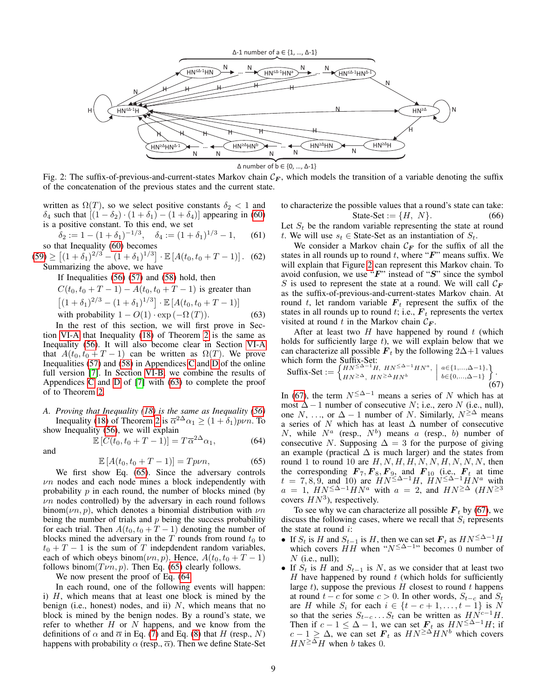<span id="page-8-4"></span>

Fig. 2: The suffix-of-previous-and-current-states Markov chain  $C_F$ , which models the transition of a variable denoting the suffix of the concatenation of the previous states and the current state.

written as  $\Omega(T)$ , so we select positive constants  $\delta_2 < 1$  and δ<sub>4</sub> such that  $[(1 – δ<sub>2</sub>) · (1 + δ<sub>1</sub>) – (1 + δ<sub>4</sub>)]$  appearing in [\(60\)](#page-7-20) is a positive constant. To this end, we set

$$
\delta_2 := 1 - (1 + \delta_1)^{-1/3}, \quad \delta_4 := (1 + \delta_1)^{1/3} - 1,
$$
\nso that Inequality (60) becomes

 $(59) \ge [(1+\delta_1)^{2/3} - (1+\delta_1)^{1/3}] \cdot \mathbb{E}[A(t_0, t_0 + T - 1)].$  $(59) \ge [(1+\delta_1)^{2/3} - (1+\delta_1)^{1/3}] \cdot \mathbb{E}[A(t_0, t_0 + T - 1)].$  (62) Summarizing the above, we have

If Inequalities [\(56\)](#page-7-16) [\(57\)](#page-7-17) and [\(58\)](#page-7-18) hold, then

$$
C(t_0, t_0 + T - 1) - A(t_0, t_0 + T - 1)
$$
 is greater than

$$
[(1 + \delta_1)^{2/3} - (1 + \delta_1)^{1/3}] \cdot \mathbb{E}[A(t_0, t_0 + T - 1)]
$$
  
with probability  $1 - O(1) \cdot \exp(-\Omega(T))$ . (63)

In the rest of this section, we will first prove in Section [VI-A](#page-8-0) that Inequality [\(18\)](#page-4-10) of Theorem [2](#page-4-1) is the same as Inequality [\(56\)](#page-7-16). It will also become clear in Section [VI-A](#page-8-0) that  $A(t_0, t_0 + T - 1)$  can be written as  $\Omega(T)$ . We prove Inequalities  $(57)$  and  $(58)$  in Appendices [C](#page-12-0) and [D](#page-13-3) of the online full version [\[7\]](#page-10-6). In Section [VI-B,](#page-10-16) we combine the results of Appendices [C](#page-12-0) and [D](#page-13-3) of  $[7]$  with  $(63)$  to complete the proof of to Theorem [2.](#page-4-1)

# <span id="page-8-0"></span>*A. Proving that Inequality [\(18\)](#page-4-10) is the same as Inequality [\(56\)](#page-7-16)* Inequality [\(18\)](#page-4-10) of Theorem [2](#page-4-1) is  $\overline{\alpha}^{2\Delta}\alpha_1 \geq (1+\delta_1)p\nu n$ . To show Inequality [\(56\)](#page-7-16), we will explain

$$
\mathbb{E}\left[C(t_0, t_0 + T - 1)\right] = T\overline{\alpha}^{2\Delta}\alpha_1,\tag{64}
$$

$$
\mathbb{E}\left[A(t_0, t_0 + T - 1)\right] = Tp\nu n,\tag{65}
$$

We first show Eq. [\(65\)](#page-8-1). Since the adversary controls  $\nu$ n nodes and each node mines a block independently with probability  $p$  in each round, the number of blocks mined (by  $\nu$ n nodes controlled) by the adversary in each round follows binom( $\nu$ n, p), which denotes a binomial distribution with  $\nu$ n being the number of trials and  $p$  being the success probability for each trial. Then  $A(t_0, t_0 + T - 1)$  denoting the number of blocks mined the adversary in the  $T$  rounds from round  $t_0$  to  $t_0 + T - 1$  is the sum of T indepdendent random variables, each of which obeys binom $(\nu n, p)$ . Hence,  $A(t_0, t_0 + T - 1)$ follows binom $(T\nu n, p)$ . Then Eq. [\(65\)](#page-8-1) clearly follows.

We now present the proof of Eq. [\(64.](#page-8-3)

and

In each round, one of the following events will happen: i)  $H$ , which means that at least one block is mined by the benign (i.e., honest) nodes, and ii)  $N$ , which means that no block is mined by the benign nodes. By a round's state, we refer to whether  $H$  or  $N$  happens, and we know from the definitions of  $\alpha$  and  $\overline{\alpha}$  in Eq. [\(7\)](#page-3-6) and Eq. [\(8\)](#page-3-4) that H (resp., N) happens with probability  $\alpha$  (resp.,  $\overline{\alpha}$ ). Then we define State-Set to characterize the possible values that a round's state can take: State-Set :=  $\{H, N\}$ .

Let  $S_t$  be the random variable representing the state at round t. We will use  $s_t \in$  State-Set as an instantiation of  $S_t$ .

We consider a Markov chain  $C_F$  for the suffix of all the states in all rounds up to round t, where " $F$ " means suffix. We will explain that Figure [2](#page-8-4) can represent this Markov chain. To avoid confusion, we use " $F$ " instead of " $S$ " since the symbol S is used to represent the state at a round. We will call  $\mathcal{C}_F$ as the suffix-of-previous-and-current-states Markov chain. At round t, let random variable  $F_t$  represent the suffix of the states in all rounds up to round t; i.e.,  $F_t$  represents the vertex visited at round t in the Markov chain  $C_F$ .

<span id="page-8-2"></span>After at least two  $H$  have happened by round  $t$  (which holds for sufficiently large  $t$ ), we will explain below that we can characterize all possible  $\mathbf{F}_t$  by the following 2∆+1 values which form the Suffix-Set:

<span id="page-8-5"></span>
$$
\text{Suffix-Set} := \begin{cases} HN^{\leq \Delta - 1}H, \ HN^{\leq \Delta - 1}HN^{a}, & a \in \{1, ..., \Delta - 1\}, \\ HN^{\geq \Delta}, \ HN^{\geq \Delta}HN^{b} \end{cases} \quad \text{(67)}
$$

<span id="page-8-3"></span>In [\(67\)](#page-8-5), the term  $N^{\leq \Delta-1}$  means a series of N which has at most  $\Delta - 1$  number of consecutive N; i.e., zero N (i.e., null), one N, ..., or  $\Delta - 1$  number of N. Similarly,  $N^{\geq \Delta}$  means a series of N which has at least ∆ number of consecutive N, while  $N^a$  (resp.,  $N^b$ ) means a (resp., b) number of consecutive N. Supposing  $\Delta = 3$  for the purpose of giving an example (practical  $\Delta$  is much larger) and the states from round 1 to round 10 are  $H, N, H, H, N, N, H, N, N, N$ , then the corresponding  $\mathbf{F}_7, \mathbf{F}_8, \mathbf{F}_9$ , and  $\mathbf{F}_{10}$  (i.e.,  $\mathbf{F}_t$  at time  $t = 7, 8, 9$ , and 10) are  $HN^{\leq \Delta-1}H$ ,  $HN^{\leq \Delta-1}HN^a$  with  $a = 1$ ,  $HN \leq \Delta-1 HN^a$  with  $a = 2$ , and  $HN \geq \Delta$   $(HN \geq 3)$ covers  $HN^3$ ), respectively.

<span id="page-8-1"></span>To see why we can characterize all possible  $F_t$  by [\(67\)](#page-8-5), we discuss the following cases, where we recall that  $S_i$  represents the state at round  $i$ :

- If  $S_t$  is H and  $S_{t-1}$  is H, then we can set  $\mathbf{F}_t$  as  $HN^{\leq \Delta-1}H$ which covers  $HH$  when " $N^{\leq \Delta-1}$ " becomes 0 number of  $N$  (i.e., null);
- If  $S_t$  is H and  $S_{t-1}$  is N, as we consider that at least two  $H$  have happened by round  $t$  (which holds for sufficiently large  $t$ ), suppose the previous  $H$  closest to round  $t$  happens at round  $t - c$  for some  $c > 0$ . In other words,  $S_{t-c}$  and  $S_t$ are H while  $S_i$  for each  $i \in \{t - c + 1, \ldots, t - 1\}$  is N so that the series  $S_{t-c} \ldots S_t$  can be written as  $H\dot{N}^{c-1}H$ . Then if  $c - 1 \leq \Delta - 1$ , we can set  $\mathbf{F}_t$  as  $HN^{\leq \Delta - 1}H$ ; if  $c - 1 \geq \Delta$ , we can set  $\mathbf{F}_t$  as  $HN^{\geq \Delta}HN^b$  which covers  $HN^{\geq \Delta}H$  when b takes 0.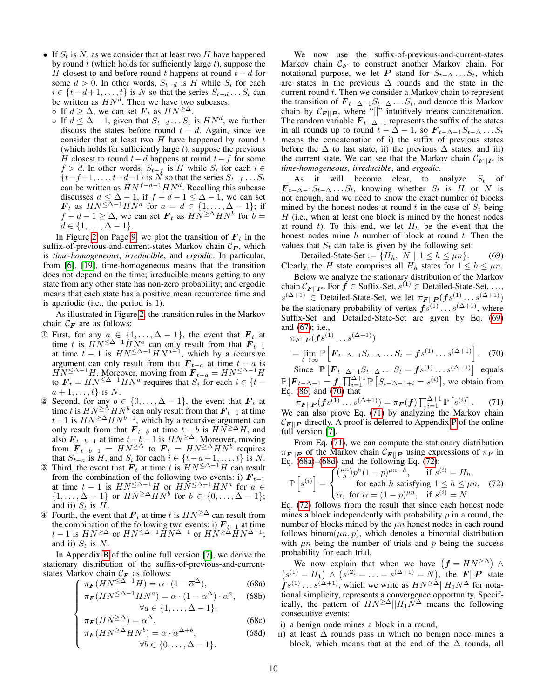• If  $S_t$  is N, as we consider that at least two H have happened by round  $t$  (which holds for sufficiently large  $t$ ), suppose the H closest to and before round t happens at round  $t - d$  for some  $d > 0$ . In other words,  $S_{t-d}$  is H while  $S_i$  for each  $i \in \{t-d+1,\ldots,t\}$  is N so that the series  $S_{t-d} \ldots S_t$  can be written as  $HN^d$ . Then we have two subcases:

◦ If  $d \geq \Delta$ , we can set  $\mathbf{F}_t$  as  $HN^{\geq \Delta}$ .

 $\circ$  If  $d \leq \Delta - 1$ , given that  $S_{t-d} \dots S_t$  is  $HN^d$ , we further discuss the states before round  $t - d$ . Again, since we consider that at least two  $H$  have happened by round  $t$ (which holds for sufficiently large  $t$ ), suppose the previous H closest to round  $t-d$  happens at round  $t-f$  for some  $f > d$ . In other words,  $S_{t-f}$  is H while  $S_i$  for each  $i \in$  ${t-f+1, \ldots, t-d-1}$  is N so that the series  $S_{t-f} \ldots S_t$ can be written as  $HN^{\hat{f}-d-1}HN^d$ . Recalling this subcase discusses  $d \leq \Delta - 1$ , if  $f - d - 1 \leq \Delta - 1$ , we can set  $\mathbf{F}_t$  as  $HN^{\leq \Delta-1}HN^a$  for  $a = d \in \{1, ..., \Delta-1\}$ ; if  $f - d - 1 \ge \Delta$ , we can set  $\mathbf{F}_t$  as  $H\tilde{N}^{\ge \Delta} H N^b$  for  $b =$  $d \in \{1,\ldots,\Delta-1\}.$ 

In Figure [2](#page-8-4) on Page [9,](#page-8-4) we plot the transition of  $F_t$  in the suffix-of-previous-and-current-states Markov chain  $\mathcal{C}_F$ , which is *time-homogeneous*, *irreducible*, and *ergodic*. In particular, from [\[6\]](#page-10-4), [\[19\]](#page-10-17), time-homogeneous means that the transition does not depend on the time; irreducible means getting to any state from any other state has non-zero probability; and ergodic means that each state has a positive mean recurrence time and is aperiodic (i.e., the period is 1).

As illustrated in Figure [2,](#page-8-4) the transition rules in the Markov chain  $C_F$  are as follows:

- ① First, for any  $a \in \{1, ..., \Delta 1\}$ , the event that  $\mathbf{F}_t$  at time t is  $HN^{\leq \Delta-1} \dot{H} N^a$  can only result from that  $F_{t-1}$ at time  $t - 1$  is  $HN \leq \Delta^{-1} H N^{a-1}$ , which by a recursive argument can only result from that  $\mathbf{F}_{t-a}$  at time  $t - a$  is  $\widetilde{HN}^{\leq \Delta-1}H$ . Moreover, moving from  $\mathbf{F}_{t-a} = H N^{\leq \Delta-1}H$ to  $\mathbf{F}_t = H N^{\leq \Delta - 1} H N^a$  requires that  $S_i$  for each  $i \in \{t$  $a+1,\ldots,t$  is N.
- 2 Second, for any  $b \in \{0, ..., \Delta 1\}$ , the event that  $\mathbf{F}_t$  at time t is  $H N^{\geq \Delta} H N^b$  can only result from that  $\boldsymbol{F}_{t-1}$  at time  $t-1$  is  $HN^{\geq \Delta}HN^{b-1}$ , which by a recursive argument can only result from that  $\mathbf{F}_{t-b}$  at time  $t-b$  is  $HN \geq \Delta H$ , and also  $\mathbf{F}_{t-b-1}$  at time  $t-b-1$  is  $HN^{\geq \Delta}$ . Moreover, moving from  $\mathbf{F}_{t-b-1} = H N^{\geq \Delta}$  to  $\mathbf{F}_t = H N^{\geq \Delta} H N^b$  requires that  $S_{t-a}$  is H, and  $S_i$  for each  $i \in \{t-a+1, \ldots, t\}$  is N.
- **③** Third, the event that  $\mathbf{F}_t$  at time t is  $HN \leq \Delta-1H$  can result from the combination of the following two events: i)  $F_{t-1}$ at time  $t - 1$  is  $HN^{\leq \Delta-1}H$  or  $HN^{\leq \Delta-1}HN^a$  for  $a \in$  $\{1,\ldots,\Delta-1\}$  or  $HN^{\geq \Delta}HN^b$  for  $b \in \{0,\ldots,\Delta-1\}$ ; and ii)  $S_t$  is  $H$ .
- Fourth, the event that  $\mathbf{F}_t$  at time t is  $HN^{\geq \Delta}$  can result from the combination of the following two events: i)  $F_{t-1}$  at time  $t-1$  is  $HN^{\geq \Delta}$  or  $HN^{\leq \Delta-1}$   $\check{H}N^{\Delta-1}$  or  $HN^{\geq \Delta}HN^{\Delta-1}$ ; and ii)  $S_t$  is N.

In Appendix [B](#page-11-2) of the online full version [\[7\]](#page-10-6), we derive the stationary distribution of the suffix-of-previous-and-currentstates Markov chain  $C_F$  as follows:

 $\sqrt{ }$ 

$$
\pi_F(HN^{\leq \Delta - 1}H) = \alpha \cdot (1 - \overline{\alpha}^{\Delta}),\tag{68a}
$$

$$
\int \pi_F(HN^{\leq \Delta-1}HN^a) = \alpha \cdot (1 - \overline{\alpha}^{\Delta}) \cdot \overline{\alpha}^a, \quad (68b)
$$
  

$$
\forall a \in \{1, ..., \Delta - 1\},
$$

<span id="page-9-3"></span>
$$
\begin{cases}\n\pi_F(HN^{\geq \Delta}) = \overline{\alpha}^{\Delta}, & (68c) \\
\pi_F(HN^{\geq \Delta}HN^b) = \alpha \cdot \overline{\alpha}^{\Delta+b}, & (68d) \\
\forall b \in \{0, \dots, \Delta - 1\}.\n\end{cases}
$$

$$
\pi_F(HN^{\geq \Delta}HN^b) = \alpha \cdot \overline{\alpha}^{\Delta+b},\tag{68d}
$$

$$
\forall b \in \{0, \ldots, \Delta - 1\}.
$$

We now use the suffix-of-previous-and-current-states Markov chain  $C_F$  to construct another Markov chain. For notational purpose, we let P stand for  $S_{t-\Delta} \ldots S_t$ , which are states in the previous  $\Delta$  rounds and the state in the current round  $t$ . Then we consider a Markov chain to represent the transition of  $\mathbf{F}_{t-\Delta-1}S_{t-\Delta}\ldots S_t$ , and denote this Markov chain by  $\mathcal{C}_{F||P}$ , where "||" intuitively means concatenation. The random variable  $F_{t-\Delta-1}$  represents the suffix of the states in all rounds up to round  $t - \Delta - 1$ , so  $\mathbf{F}_{t-\Delta-1}S_{t-\Delta} \ldots S_t$ means the concatenation of i) the suffix of previous states before the  $\Delta$  to last state, ii) the previous  $\Delta$  states, and iii) the current state. We can see that the Markov chain  $\mathcal{C}_{F||P}$  is *time-homogeneous*, *irreducible*, and *ergodic*.

As it will become clear, to analyze  $S_t$  of  $\mathbf{F}_{t-\Delta-1}S_{t-\Delta} \ldots S_t$ , knowing whether  $S_t$  is  $H$  or  $N$  is not enough, and we need to know the exact number of blocks mined by the honest nodes at round t in the case of  $S_t$  being  $H$  (i.e., when at least one block is mined by the honest nodes at round t). To this end, we let  $H<sub>h</sub>$  be the event that the honest nodes mine  $h$  number of block at round  $t$ . Then the values that  $S_t$  can take is given by the following set:

<span id="page-9-0"></span>Detailed-State-Set :=  $\{H_h, N \mid 1 \le h \le \mu n\}$ . (69) Clearly, the H state comprises all  $H_h$  states for  $1 \le h \le \mu n$ .

Below we analyze the stationary distribution of the Markov chain  $\mathcal{C}_{\boldsymbol{F}||\boldsymbol{P}}.$  For  $\boldsymbol{f} \in \text{Suffix-Set}, s^{(1)} \in \text{Details-State-Set}, \ldots,$  $s^{(\Delta+1)} \in$  Detailed-State-Set, we let  $\pi_{F||P}(fs^{(1)} \dots s^{(\Delta+1)})$ be the stationary probability of vertex  $fs^{(1)} \dots s^{(\Delta+1)}$ , where Suffix-Set and Detailed-State-Set are given by Eq. [\(69\)](#page-9-0) and [\(67\)](#page-8-5); i.e.,

<span id="page-9-1"></span>
$$
\pi_{\mathbf{F}||\mathbf{P}}(\mathbf{f}s^{(1)}\dots s^{(\Delta+1)})
$$
\n
$$
= \lim_{t \to \infty} \mathbb{P}\left[\mathbf{F}_{t-\Delta-1}S_{t-\Delta}\dots S_t = \mathbf{f}s^{(1)}\dots s^{(\Delta+1)}\right]. \tag{70}
$$

Since  $\mathbb{P}\left[F_{t-\Delta-1}S_{t-\Delta}\dots S_t = fs^{(1)}\dots s^{(\Delta+1)}\right]$  equals  $P[F_{t-\Delta-1} = f] \prod_{i=1}^{\Delta+1} P[S_{t-\Delta-1+i} = s^{(i)}]$ , we obtain from Eq. [\(86\)](#page-12-1) and [\(70\)](#page-9-1) that

<span id="page-9-2"></span> $\pi_{\boldsymbol{F}||\boldsymbol{P}}(\boldsymbol{f} s^{(1)}\dots s^{(\Delta+1)}) = \pi_{\boldsymbol{F}}(\boldsymbol{f})\prod_{i=1}^{\Delta+1}\mathbb{P}\left[s^{(i)}\right]$ . (71) We can also prove Eq. [\(71\)](#page-9-2) by analyzing the Markov chain  $\mathcal{C}_{\mathbf{F} \parallel \mathbf{P}}$  directly. A proof is deferred to Appendix [P](#page-16-0) of the online full version [\[7\]](#page-10-6).

From Eq. [\(71\)](#page-9-2), we can compute the stationary distribution  $\pi_{\mathbf{F} \parallel \mathbf{P}}$  of the Markov chain  $\mathcal{C}_{\mathbf{F} \parallel \mathbf{P}}$  using expressions of  $\pi_{\mathbf{F}}$  in Eq.  $(68a)$ – $(68d)$  and the following Eq.  $(72)$ :

<span id="page-9-4"></span>
$$
\mathbb{P}\left[s^{(i)}\right] = \begin{cases} \binom{\mu n}{h} p^h (1-p)^{\mu n-h}, & \text{if } s^{(i)} = H_h, \\ \text{for each } h \text{ satisfying } 1 \le h \le \mu n, \\ \overline{\alpha}, & \text{for } \overline{\alpha} = (1-p)^{\mu n}, \text{ if } s^{(i)} = N. \end{cases}
$$
(72)

Eq. [\(72\)](#page-9-4) follows from the result that since each honest node mines a block independently with probability  $p$  in a round, the number of blocks mined by the  $\mu n$  honest nodes in each round follows binom $(\mu n, p)$ , which denotes a binomial distribution with  $\mu$ n being the number of trials and p being the success probability for each trial.

We now explain that when we have  $(f = HN^{\geq \Delta})$   $\wedge$  $(s^{(1)} = H_1) \wedge (s^{(2)} = \ldots = s^{(\Delta+1)} = N)$ , the  $\mathbf{F} || \mathbf{P}$  state  $f s^{(1)} \dots s^{(\Delta+1)}$ , which we write as  $HN^{\geq \Delta} || H_1 N^{\Delta}$  for notational simplicity, represents a convergence opportunity. Specifically, the pattern of  $HN^{\geq \Delta}||H_1N^{\Delta}$  means the following consecutive events:

- i) a benign node mines a block in a round,
- ii) at least ∆ rounds pass in which no benign node mines a block, which means that at the end of the  $\Delta$  rounds, all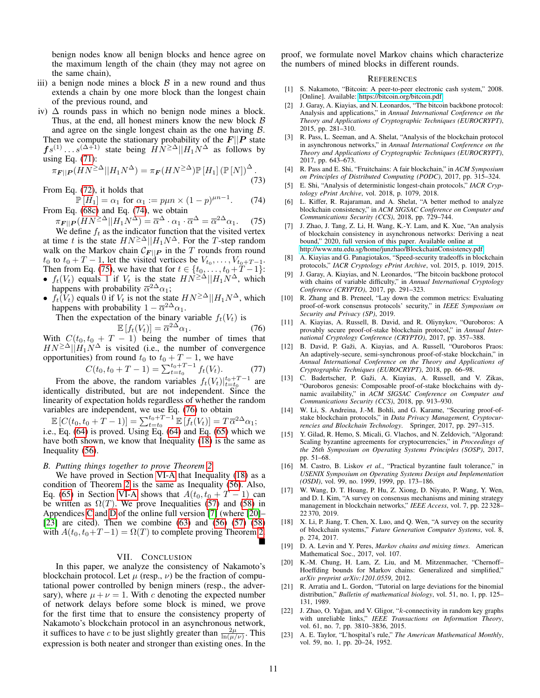benign nodes know all benign blocks and hence agree on the maximum length of the chain (they may not agree on the same chain),

- iii) a benign node mines a block  $\beta$  in a new round and thus extends a chain by one more block than the longest chain of the previous round, and
- iv)  $\Delta$  rounds pass in which no benign node mines a block. Thus, at the end, all honest miners know the new block  $\beta$ and agree on the single longest chain as the one having  $\beta$ . Then we compute the stationary probability of the  $F||P$  state  $f s^{(1)} \dots s^{(\Delta+1)}$  state being  $H N^{\geq \Delta} || H_1 N^{\Delta}$  as follows by using Eq. [\(71\)](#page-9-2):

$$
\pi_{\mathbf{F}||\mathbf{P}}(HN^{\geq \Delta}||H_1N^{\Delta}) = \pi_{\mathbf{F}}(HN^{\geq \Delta})\mathbb{P}[H_1] (\mathbb{P}[N])^{\Delta}.
$$
\n(73)

From Eq. [\(72\)](#page-9-4), it holds that

 $\mathbb{P}[H_1] = \alpha_1$  for  $\alpha_1 := p\mu n \times (1-p)^{\mu n-1}$  $(74)$ From Eq. [\(68c\)](#page-9-3) and Eq. [\(74\)](#page-10-18), we obtain

$$
\pi_{\mathbf{F}||\mathbf{P}}(HN^{\geq \Delta}||H_1N^{\Delta}) = \overline{\alpha}^{\Delta} \cdot \alpha_1 \cdot \overline{\alpha}^{\Delta} = \overline{\alpha}^{2\Delta}\alpha_1. \tag{75}
$$

We define  $f_t$  as the indicator function that the visited vertex at time t is the state  $HN^{\geq \Delta}||H_1N^{\Delta}$ . For the T-step random walk on the Markov chain  $\mathcal{C}_{F||P}$  in the T rounds from round  $t_0$  to  $t_0 + T - 1$ , let the visited vertices be  $V_{t_0}, \ldots, V_{t_0+T-1}$ . Then from Eq. [\(75\)](#page-10-19), we have that for  $t \in \{t_0, ..., t_0 + T - 1\}$ :

- $f_t(V_t)$  equals 1 if  $V_t$  is the state  $HN^{\geq \Delta}||H_1N^{\Delta}$ , which happens with probability  $\overline{\alpha}^{2\Delta}\alpha_1$ ;
- $f_t(V_t)$  equals 0 if  $V_t$  is not the state  $HN^{\geq \Delta}||H_1N^{\Delta}$ , which happens with probability  $1 - \overline{\alpha}^{2\Delta}\alpha_1$ .

Then the expectation of the binary variable  $f_t(V_t)$  is

$$
\mathbb{E}\left[f_t(V_t)\right] = \overline{\alpha}^{2\Delta}\alpha_1. \tag{76}
$$

With  $C(t_0, t_0 + T - 1)$  being the number of times that  $HN^{\geq \Delta}||H_1N^{\Delta}$  is visited (i.e., the number of convergence opportunities) from round  $t_0$  to  $t_0 + T - 1$ , we have

$$
C(t_0, t_0 + T - 1) = \sum_{t=t_0}^{t_0 + T - 1} f_t(V_t).
$$
 (77)

From the above, the random variables  $f_t(V_t)|_{t=t_0}^{t_0+T-1}$  are identically distributed, but are not independent. Since the linearity of expectation holds regardless of whether the random variables are independent, we use Eq. [\(76\)](#page-10-20) to obtain

$$
\mathbb{E}\left[C(t_0, t_0 + T - 1)\right] = \sum_{t=t_0}^{t_0+T-1} \mathbb{E}\left[f_t(V_t)\right] = T\overline{\alpha}^{2\Delta}\alpha_1;
$$
  
i.e., Eq. (64) is proved. Using Eq. (64) and Eq. (65) which we  
have both shown, we know that Inequality (18) is the same as  
Inequality (56).

#### <span id="page-10-16"></span>*B. Putting things together to prove Theorem [2](#page-4-1)*

We have proved in Section [VI-A](#page-8-0) that Inequality [\(18\)](#page-4-10) as a condition of Theorem [2](#page-4-1) is the same as Inequality [\(56\)](#page-7-16). Also, Eq. [\(65\)](#page-8-1) in Section [VI-A](#page-8-0) shows that  $A(t_0, t_0 + T - 1)$  can be written as  $\Omega(T)$ . We prove Inequalities [\(57\)](#page-7-17) and [\(58\)](#page-7-18) in Appendices [C](#page-12-0) and [D](#page-13-3) of the online full version [\[7\]](#page-10-6) (where [\[20\]](#page-10-21)– [\[23\]](#page-10-22) are cited). Then we combine  $(63)$  and  $(56)$   $(57)$   $(58)$ with  $A(t_0, t_0+T-1) = \Omega(T)$  to complete proving Theorem [2.](#page-4-1)

# VII. CONCLUSION

<span id="page-10-5"></span>In this paper, we analyze the consistency of Nakamoto's blockchain protocol. Let  $\mu$  (resp.,  $\nu$ ) be the fraction of computational power controlled by benign miners (resp., the adversary), where  $\mu + \nu = 1$ . With c denoting the expected number of network delays before some block is mined, we prove for the first time that to ensure the consistency property of Nakamoto's blockchain protocol in an asynchronous network, it suffices to have c to be just slightly greater than  $\frac{2\mu}{\ln(\mu/\nu)}$ . This expression is both neater and stronger than existing ones. In the

proof, we formulate novel Markov chains which characterize the numbers of mined blocks in different rounds.

#### **REFERENCES**

- <span id="page-10-0"></span>[1] S. Nakamoto, "Bitcoin: A peer-to-peer electronic cash system," 2008. [Online]. Available:<https://bitcoin.org/bitcoin.pdf>
- <span id="page-10-1"></span>[2] J. Garay, A. Kiayias, and N. Leonardos, "The bitcoin backbone protocol: Analysis and applications," in *Annual International Conference on the Theory and Applications of Cryptographic Techniques (EUROCRYPT)*, 2015, pp. 281–310.
- <span id="page-10-3"></span>R. Pass, L. Seeman, and A. Shelat, "Analysis of the blockchain protocol in asynchronous networks," in *Annual International Conference on the Theory and Applications of Cryptographic Techniques (EUROCRYPT)*, 2017, pp. 643–673.
- <span id="page-10-7"></span>[4] R. Pass and E. Shi, "Fruitchains: A fair blockchain," in *ACM Symposium on Principles of Distributed Computing (PODC)*, 2017, pp. 315–324.
- <span id="page-10-18"></span><span id="page-10-2"></span>[5] E. Shi, "Analysis of deterministic longest-chain protocols," *IACR Cryptology ePrint Archive*, vol. 2018, p. 1079, 2018.
- <span id="page-10-4"></span>L. Kiffer, R. Rajaraman, and A. Shelat, "A better method to analyze blockchain consistency," in *ACM SIGSAC Conference on Computer and Communications Security (CCS)*, 2018, pp. 729–744.
- <span id="page-10-19"></span><span id="page-10-6"></span>[7] J. Zhao, J. Tang, Z. Li, H. Wang, K.-Y. Lam, and K. Xue, "An analysis of blockchain consistency in asynchronous networks: Deriving a neat bound," 2020, full version of this paper. Available online at [http://www.ntu.edu.sg/home/junzhao/BlockchainConsistency.pdf.](http://www.ntu.edu.sg/home/junzhao/BlockchainConsistency.pdf)
- <span id="page-10-8"></span>[8] A. Kiayias and G. Panagiotakos, "Speed-security tradeoffs in blockchain protocols," *IACR Cryptology ePrint Archive*, vol. 2015, p. 1019, 2015.
- [9] J. Garay, A. Kiayias, and N. Leonardos, "The bitcoin backbone protocol with chains of variable difficulty," in *Annual International Cryptology Conference (CRYPTO)*, 2017, pp. 291–323.
- <span id="page-10-9"></span>[10] R. Zhang and B. Preneel, "Lay down the common metrics: Evaluating proof-of-work consensus protocols' security," in *IEEE Symposium on Security and Privacy (SP)*, 2019.
- <span id="page-10-20"></span><span id="page-10-10"></span>[11] A. Kiayias, A. Russell, B. David, and R. Oliynykov, "Ouroboros: A provably secure proof-of-stake blockchain protocol," in *Annual International Cryptology Conference (CRYPTO)*, 2017, pp. 357–388.
- [12] B. David, P. Gaži, A. Kiayias, and A. Russell, "Ouroboros Praos: An adaptively-secure, semi-synchronous proof-of-stake blockchain," in *Annual International Conference on the Theory and Applications of Cryptographic Techniques (EUROCRYPT)*, 2018, pp. 66–98.
- [13] C. Badertscher, P. Gaži, A. Kiayias, A. Russell, and V. Zikas, "Ouroboros genesis: Composable proof-of-stake blockchains with dynamic availability," in *ACM SIGSAC Conference on Computer and Communications Security (CCS)*, 2018, pp. 913–930.
- <span id="page-10-11"></span>[14] W. Li, S. Andreina, J.-M. Bohli, and G. Karame, "Securing proof-ofstake blockchain protocols," in *Data Privacy Management, Cryptocurrencies and Blockchain Technology*. Springer, 2017, pp. 297–315.
- <span id="page-10-12"></span>[15] Y. Gilad, R. Hemo, S. Micali, G. Vlachos, and N. Zeldovich, "Algorand: Scaling byzantine agreements for cryptocurrencies," in *Proceedings of the 26th Symposium on Operating Systems Principles (SOSP)*, 2017, pp. 51–68.
- <span id="page-10-13"></span>[16] M. Castro, B. Liskov et al., "Practical byzantine fault tolerance," in *USENIX Symposium on Operating Systems Design and Implementation (OSDI)*, vol. 99, no. 1999, 1999, pp. 173–186.
- <span id="page-10-14"></span>[17] W. Wang, D. T. Hoang, P. Hu, Z. Xiong, D. Niyato, P. Wang, Y. Wen, and D. I. Kim, "A survey on consensus mechanisms and mining strategy management in blockchain networks," *IEEE Access*, vol. 7, pp. 22 328– 22 370, 2019.
- <span id="page-10-15"></span>[18] X. Li, P. Jiang, T. Chen, X. Luo, and Q. Wen, "A survey on the security of blockchain systems," *Future Generation Computer Systems*, vol. 8, p. 274, 2017.
- <span id="page-10-17"></span>[19] D. A. Levin and Y. Peres, *Markov chains and mixing times*. American Mathematical Soc., 2017, vol. 107.
- <span id="page-10-21"></span>[20] K.-M. Chung, H. Lam, Z. Liu, and M. Mitzenmacher, "Chernoff– Hoeffding bounds for Markov chains: Generalized and simplified," *arXiv preprint arXiv:1201.0559*, 2012.
- <span id="page-10-23"></span>[21] R. Arratia and L. Gordon, "Tutorial on large deviations for the binomial distribution," *Bulletin of mathematical biology*, vol. 51, no. 1, pp. 125– 131, 1989.
- <span id="page-10-24"></span>[22] J. Zhao, O. Yağan, and V. Gligor, "k-connectivity in random key graphs with unreliable links," *IEEE Transactions on Information Theory*, vol. 61, no. 7, pp. 3810–3836, 2015.
- <span id="page-10-22"></span>[23] A. E. Taylor, "L'hospital's rule," *The American Mathematical Monthly*, vol. 59, no. 1, pp. 20–24, 1952.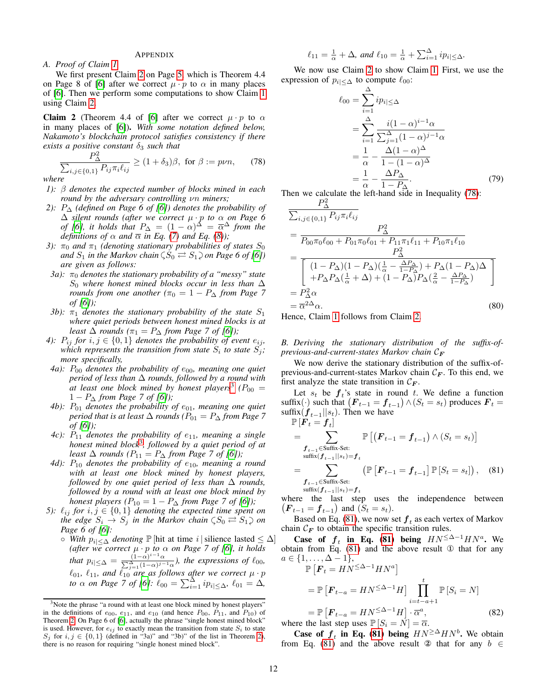#### APPENDIX

#### <span id="page-11-0"></span>*A. Proof of Claim [1](#page-5-1)*

We first present Claim [2](#page-11-3) on Page [5,](#page-4-1) which is Theorem 4.4 on Page 8 of [\[6\]](#page-10-4) after we correct  $\mu \cdot p$  to  $\alpha$  in many places of [\[6\]](#page-10-4). Then we perform some computations to show Claim [1](#page-5-1) using Claim [2.](#page-11-3)

<span id="page-11-3"></span>**Claim 2** (Theorem 4.4 of [\[6\]](#page-10-4) after we correct  $\mu \cdot p$  to  $\alpha$ in many places of [\[6\]](#page-10-4)). *With some notation defined below, Nakamoto's blockchain protocol satisfies consistency if there exists a positive constant*  $\delta_3$  *such that* 

$$
\frac{P_{\Delta}^2}{\sum_{i,j\in\{0,1\}} P_{ij}\pi_i\ell_{ij}} \ge (1+\delta_3)\beta, \text{ for } \beta := p\nu n,\qquad(78)
$$

*where*

- *1):* β *denotes the expected number of blocks mined in each round by the adversary controlling* νn *miners;*
- *2):* P<sup>∆</sup> *(defined on Page 6 of [\[6\]](#page-10-4)) denotes the probability of* ∆ *silent rounds (after we correct* µ · p *to* α *on Page 6 of [\[6\]](#page-10-4)*, *it holds that*  $P_{\Delta} = (1 - \alpha)^{\Delta} = \overline{\alpha}^{\Delta}$  *from the definitions of*  $\alpha$  *and*  $\overline{\alpha}$  *in Eq.* [\(7\)](#page-3-6) *and Eq.* [\(8\)](#page-3-4));
- *3):*  $\pi_0$  *and*  $\pi_1$  *(denoting stationary probabilities of states*  $S_0$ and  $S_1$  in the Markov chain  $\zeta \overline{S_0} \rightleftarrows S_1 \overline{\zeta}$  on Page 6 of [\[6\]](#page-10-4)) *are given as follows:*
- $3a$ ):  $\pi_0$  *denotes the stationary probability of a "messy" state*  $S_0$  *where honest mined blocks occur in less than*  $\Delta$ *rounds from one another* ( $\pi_0 = 1 - P_{\Delta}$  *from Page 7 of [\[6\]](#page-10-4));*
- *3b*):  $\pi_1$  *denotes the stationary probability of the state*  $S_1$ *where quiet periods between honest mined blocks is at least*  $\Delta$  *rounds* ( $\pi_1 = P_{\Delta}$  *from Page 7 of [\[6\]](#page-10-4))*;
- *4):*  $P_{ij}$  *for*  $i, j \in \{0, 1\}$  *denotes the probability of event*  $e_{ij}$ *,* which represents the transition from state  $S_i$  to state  $S_j$ ; *more specifically,*
- *4a):*  $P_{00}$  *denotes the probability of*  $e_{00}$ *, meaning one quiet period of less than* ∆ *rounds, followed by a round with* at least one block mined by honest players<sup>[3](#page-0-0)</sup> ( $P_{00} =$ 1 − P<sup>∆</sup> *from Page 7 of [\[6\]](#page-10-4));*
- *4b*):  $P_{01}$  *denotes the probability of*  $e_{01}$ *, meaning one quiet period that is at least*  $\Delta$  *rounds* ( $P_{01} = P_{\Delta}$  *from Page 7 of [\[6\]](#page-10-4));*
- *4c):*  $P_{11}$  *denotes the probability of*  $e_{11}$ *, meaning a single honest mined block*[3](#page-11-1) *, followed by a quiet period of at least*  $\Delta$  *rounds*  $(P_{11} = P_{\Delta} \text{ from Page 7 of } [6])$  $(P_{11} = P_{\Delta} \text{ from Page 7 of } [6])$  $(P_{11} = P_{\Delta} \text{ from Page 7 of } [6])$ ;
- *4d):*  $P_{10}$  *denotes the probability of*  $e_{10}$ *, meaning a round with at least one block mined by honest players, followed by one quiet period of less than*  $\Delta$  *rounds*, *followed by a round with at least one block mined by honest players* ( $P_{10} = 1 - P_{\Delta}$  *from Page 7 of [\[6\]](#page-10-4)*);
- *5):*  $\ell_{ij}$  *for*  $i, j \in \{0, 1\}$  *denoting the expected time spent on the edge*  $S_i \rightarrow S_j$  in the Markov chain  $\zeta S_0 \rightleftarrows S_1$  on *Page 6 of [\[6\]](#page-10-4):*
	- $\circ$  *With*  $p_{i|<\Delta}$  *denoting*  $\mathbb{P}$  [hit at time *i* | silience lasted  $\leq \Delta$ ] *(after we correct*  $\mu \cdot p$  *to*  $\alpha$  *on Page 7 of [\[6\]](#page-10-4), it holds that*  $p_{i|\leq \Delta} = \frac{(1-\alpha)^{i-1}\alpha}{\sum_{j=1}^{\Delta} (1-\alpha)^{j-1}\alpha}$ , the expressions of  $\ell_{00}$ ,  $\ell_{01}$ ,  $\ell_{11}$ , and  $\ell_{10}$  are as follows after we correct  $\mu \cdot p$ *to*  $\alpha$  *on Page 7 of [\[6\]](#page-10-4):*  $\ell_{00} = \sum_{i=1}^{N} i p_i \leq \alpha$ *,*  $\ell_{01} = \Delta$ *,*

$$
\ell_{11} = \frac{1}{\alpha} + \Delta, \text{ and } \ell_{10} = \frac{1}{\alpha} + \sum_{i=1}^{\Delta} i p_{i} \leq \Delta.
$$

We now use Claim [2](#page-11-3) to show Claim [1.](#page-5-1) First, we use the expression of  $p_{i|<\Delta}$  to compute  $\ell_{00}$ :

$$
\ell_{00} = \sum_{i=1}^{\Delta} i p_{i| \leq \Delta}
$$

$$
= \sum_{i=1}^{\Delta} \frac{i(1-\alpha)^{i-1} \alpha}{\sum_{j=1}^{\Delta} (1-\alpha)^{j-1} \alpha}
$$

$$
= \frac{1}{\alpha} - \frac{\Delta(1-\alpha)^{\Delta}}{1 - (1-\alpha)^{\Delta}}
$$

$$
= \frac{1}{\alpha} - \frac{\Delta P_{\Delta}}{1 - P_{\Delta}}.
$$
(79)

<span id="page-11-1"></span>Then we calculate the left-hand side in Inequality [\(78\)](#page-11-1):

$$
\frac{P_{\Delta}^{2}}{\sum_{i,j \in \{0,1\}} P_{ij} \pi_{i} \ell_{ij}} = \frac{P_{\Delta}^{2}}{P_{00} \pi_{0} \ell_{00} + P_{01} \pi_{0} \ell_{01} + P_{11} \pi_{1} \ell_{11} + P_{10} \pi_{1} \ell_{10}} = \frac{P_{\Delta}^{2}}{\begin{bmatrix} (1 - P_{\Delta})(1 - P_{\Delta})(\frac{1}{\alpha} - \frac{\Delta P_{\Delta}}{1 - P_{\Delta}}) + P_{\Delta}(1 - P_{\Delta})\Delta \\ + P_{\Delta} P_{\Delta} (\frac{1}{\alpha} + \Delta) + (1 - P_{\Delta}) P_{\Delta} (\frac{2}{\alpha} - \frac{\Delta P_{\Delta}}{1 - P_{\Delta}}) \end{bmatrix}} = P_{\Delta}^{2} \alpha = \overline{\alpha}^{2\Delta} \alpha.
$$
\n(80)

Hence, Claim [1](#page-5-1) follows from Claim [2.](#page-11-3)

<span id="page-11-2"></span>*B. Deriving the stationary distribution of the suffix-ofprevious-and-current-states Markov chain*  $\mathcal{C}_F$ 

We now derive the stationary distribution of the suffix-ofprevious-and-current-states Markov chain  $C_F$ . To this end, we first analyze the state transition in  $C_F$ .

Let  $s_t$  be  $f_t$ 's state in round t. We define a function suffix(·) such that  $(F_{t-1} = \boldsymbol{f}_{t-1}) \wedge (S_t = s_t)$  produces  $\boldsymbol{F}_t =$ suffix $(f_{t-1}||s_t)$ . Then we have

<span id="page-11-4"></span>
$$
\mathbb{P}\left[\mathbf{F}_{t} = \mathbf{f}_{t}\right]
$$
\n
$$
= \sum_{\substack{\mathbf{f}_{t-1} \in \text{Suffix-Set:} \\ \text{suffix}(\mathbf{f}_{t-1}||s_{t}) = \mathbf{f}_{t}}} \mathbb{P}\left[\left(\mathbf{F}_{t-1} = \mathbf{f}_{t-1}\right) \wedge (S_{t} = s_{t})\right]
$$
\n
$$
= \sum_{\substack{\mathbf{f}_{t-1} \in \text{Suffix-Set:} \\ \text{suffix}(\mathbf{f}_{t-1}||s_{t}) = \mathbf{f}_{t}}} \left(\mathbb{P}\left[\mathbf{F}_{t-1} = \mathbf{f}_{t-1}\right] \mathbb{P}\left[S_{t} = s_{t}\right]\right), \quad (81)
$$

where the last step uses the independence between  $(F_{t-1} = f_{t-1})$  and  $(S_t = s_t)$ .

Based on Eq. [\(81\)](#page-11-4), we now set  $\boldsymbol{f}_t$  as each vertex of Markov chain  $C_F$  to obtain the specific transition rules.

Case of  $f_t$  in Eq. [\(81\)](#page-11-4) being  $HN^{\leq \Delta-1}HN^a$ . We obtain from Eq. [\(81\)](#page-11-4) and the above result ① that for any  $a \in \{1, \ldots, \Delta - 1\},\$ 

$$
\mathbb{P}\left[\boldsymbol{F}_t = H N^{\leq \Delta - 1} H N^a\right]
$$
\n
$$
= \mathbb{P}\left[\boldsymbol{F}_{t-a} = H N^{\leq \Delta - 1} H\right] \prod_{i=t-a+1}^t \mathbb{P}\left[S_i = N\right]
$$
\n
$$
= \mathbb{P}\left[\boldsymbol{F}_{t-a} = H N^{\leq \Delta - 1} H\right] \cdot \overline{\alpha}^a,
$$
\nwhere the last step uses  $\mathbb{P}\left[S_i = N\right] = \overline{\alpha}.$  (82)

<span id="page-11-5"></span>**Case of**  $f_t$  **in Eq. [\(81\)](#page-11-4) being**  $HN \geq \Delta H N^b$ . We obtain from Eq. [\(81\)](#page-11-4) and the above result 2 that for any  $b \in$ 

<sup>&</sup>lt;sup>3</sup>Note the phrase "a round with at least one block mined by honest players" in the definitions of  $e_{00}$ ,  $e_{11}$ , and  $e_{10}$  (and hence  $P_{00}$ ,  $P_{11}$ , and  $P_{10}$ ) of Theorem [2.](#page-11-3) On Page 6 of [\[6\]](#page-10-4), actually the phrase "single honest mined block" is used. However, for  $e_{ij}$  to exactly mean the transition from state  $S_i$  to state  $S_j$  for  $i, j \in \{0, 1\}$  (defined in "3a)" and "3b)" of the list in Theorem [2\)](#page-11-3), there is no reason for requiring "single honest mined block".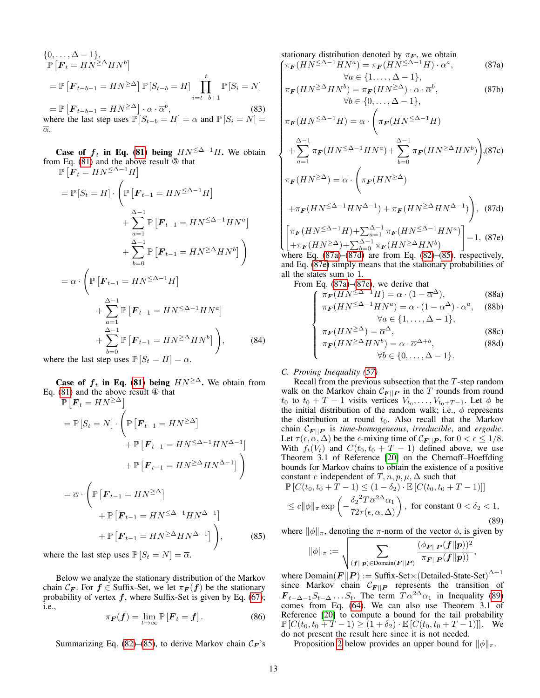$$
\{0, \ldots, \Delta - 1\},
$$
  
\n
$$
\mathbb{P}\left[F_t = H N^{\geq \Delta} H N^b\right]
$$
  
\n
$$
= \mathbb{P}\left[F_{t-b-1} = H N^{\geq \Delta}\right] \mathbb{P}\left[S_{t-b} = H\right] \prod_{i=t-b+1}^{t} \mathbb{P}\left[S_i = N\right]
$$
  
\n
$$
= \mathbb{P}\left[F_{t-b-1} = H N^{\geq \Delta}\right] \cdot \alpha \cdot \overline{\alpha}^b,
$$
 (83)  
\nwhere the last step uses  $\mathbb{P}\left[S_{t} = H\right] = \alpha$  and  $\mathbb{P}\left[S_{t} = N\right] = \alpha$ 

where the last step uses  $\mathbb{P}[S_{t-b} = H] = \alpha$  and  $\mathbb{P}[S_i = N]$ α.

**Case of**  $f_t$  **in Eq. [\(81\)](#page-11-4) being**  $HN^{\leq \Delta-1}H$ . We obtain from Eq. [\(81\)](#page-11-4) and the above result ③ that

$$
\mathbb{P}\left[\bar{\boldsymbol{F}}_{t} = H N^{\leq \Delta - 1} H\right]
$$
\n
$$
= \mathbb{P}\left[S_{t} = H\right] \cdot \left(\mathbb{P}\left[\boldsymbol{F}_{t-1} = H N^{\leq \Delta - 1} H\right]\right.\n\left. + \sum_{a=1}^{\Delta - 1} \mathbb{P}\left[\boldsymbol{F}_{t-1} = H N^{\leq \Delta - 1} H N^{a}\right]\right.\n\left. + \sum_{b=0}^{\Delta - 1} \mathbb{P}\left[\boldsymbol{F}_{t-1} = H N^{\geq \Delta} H N^{b}\right]\right)
$$
\n
$$
= \alpha \cdot \left(\mathbb{P}\left[\boldsymbol{F}_{t-1} = H N^{\leq \Delta - 1} H\right]\right.\n\left. + \sum_{a=1}^{\Delta - 1} \mathbb{P}\left[\boldsymbol{F}_{t-1} = H N^{\leq \Delta - 1} H N^{a}\right]\right.\n\left. + \sum_{b=0}^{\Delta - 1} \mathbb{P}\left[\boldsymbol{F}_{t-1} = H N^{\geq \Delta} H N^{b}\right]\right),\n\tag{84}
$$

where the last step uses  $\mathbb{P}[S_t = H] = \alpha$ .

**Case of**  $f_t$  **in Eq. [\(81\)](#page-11-4) being**  $HN \geq \Delta$ . We obtain from Eq. [\(81\)](#page-11-4) and the above result ④ that

$$
\mathbb{P}\left[\boldsymbol{F}_{t} = H N^{\geq \Delta}\right]
$$
\n
$$
= \mathbb{P}\left[S_{t} = N\right] \cdot \left(\mathbb{P}\left[\boldsymbol{F}_{t-1} = H N^{\geq \Delta}\right] + \mathbb{P}\left[\boldsymbol{F}_{t-1} = H N^{\leq \Delta - 1} H N^{\Delta - 1}\right] + \mathbb{P}\left[\boldsymbol{F}_{t-1} = H N^{\geq \Delta} H N^{\Delta - 1}\right]\right)
$$
\n
$$
= \overline{\alpha} \cdot \left(\mathbb{P}\left[\boldsymbol{F}_{t-1} = H N^{\geq \Delta}\right] + \mathbb{P}\left[\boldsymbol{F}_{t-1} = H N^{\leq \Delta - 1} H N^{\Delta - 1}\right] + \mathbb{P}\left[\boldsymbol{F}_{t-1} = H N^{\geq \Delta} H N^{\Delta - 1}\right]\right), \tag{85}
$$

where the last step uses  $\mathbb{P}\left[S_t = N\right] = \overline{\alpha}$ .

Below we analyze the stationary distribution of the Markov chain  $\mathcal{C}_F$ . For  $f \in$  Suffix-Set, we let  $\pi_F(f)$  be the stationary probability of vertex  $f$ , where Suffix-Set is given by Eq. [\(67\)](#page-8-5); i.e.,

$$
\pi_{\boldsymbol{F}}(\boldsymbol{f}) = \lim_{t \to \infty} \mathbb{P}\left[\boldsymbol{F}_t = \boldsymbol{f}\right]. \tag{86}
$$

Summarizing Eq. [\(82\)](#page-11-5)–[\(85\)](#page-12-2), to derive Markov chain  $C_F$ 's

 $\int \pi_F (H N^{\leq \Delta - 1} H N^a) = \pi_F (H N^{\leq \Delta - 1} H) \cdot \overline{\alpha}^a$ stationary distribution denoted by  $\pi_F$ , we obtain , (87a)

<span id="page-12-3"></span>
$$
\forall a \in \{1, ..., \Delta - 1\},
$$
  
\n
$$
\pi_F(HN^{\geq \Delta}HN^b) = \pi_F(HN^{\geq \Delta}) \cdot \alpha \cdot \overline{\alpha}^b,
$$
  
\n
$$
\forall b \in \{0, ..., \Delta - 1\},
$$
\n(87b)

$$
\forall a \in \{1, ..., \Delta - 1\},
$$
  
\n
$$
\pi_F(HN^{\geq \Delta}HN^b) = \pi_F(HN^{\geq \Delta}) \cdot \alpha \cdot \overline{\alpha}^b,
$$
  
\n
$$
\forall b \in \{0, ..., \Delta - 1\},
$$
  
\n
$$
\pi_F(HN^{\leq \Delta-1}H) = \alpha \cdot \left(\pi_F(HN^{\leq \Delta-1}H)
$$
  
\n
$$
+ \sum_{a=1}^{\Delta-1} \pi_F(HN^{\leq \Delta-1}HN^a) + \sum_{b=0}^{\Delta-1} \pi_F(HN^{\geq \Delta}HN^b)\right), (87c)
$$
  
\n
$$
\pi_F(HN^{\geq \Delta}) = \overline{\alpha} \cdot \left(\pi_F(HN^{\geq \Delta})
$$
  
\n
$$
+ \pi_F(HN^{\leq \Delta-1}HN^{\Delta-1}) + \pi_F(HN^{\geq \Delta}HN^{\Delta-1})\right), (87d)
$$
  
\n
$$
\left[\pi_F(HN^{\leq \Delta-1}H) + \sum_{a=1}^{\Delta-1} \pi_F(HN^{\leq \Delta-1}HN^a)\right] = 1, (87e)
$$

$$
\begin{bmatrix}\n\pi_F(HN^{\geq \Delta} \quad H) + \sum_{a=1}^{\Delta} \pi_F(HN^{\geq \Delta} \quad HN^a) \\
+\pi_F(HN^{\geq \Delta}) + \sum_{b=0}^{\Delta-1} \pi_F(HN^{\geq \Delta}HN^b)\n\end{bmatrix} = 1, (87e)
$$

where Eq.  $(87a)$ – $(87d)$  are from Eq.  $(82)$ – $(85)$ , respectively, and Eq. [\(87e\)](#page-12-3) simply means that the stationary probabilities of all the states sum to 1.

From Eq. [\(87a\)](#page-12-3)–[\(87e\)](#page-12-3), we derive that

$$
\int \pi_{\mathbf{F}}(HN^{\leq \Delta-1}H) = \alpha \cdot (1 - \overline{\alpha}^{\Delta}),
$$
 (88a)  
\n
$$
\pi_{\mathbf{F}}(HN^{\leq \Delta-1}HN^{a}) = \alpha \cdot (1 - \overline{\alpha}^{\Delta}) \cdot \overline{\alpha}^{a},
$$
 (88b)  
\n
$$
\forall a \in \{1, ..., \Delta - 1\},
$$

$$
\forall a \in \{1, \dots, \Delta - 1\},
$$
 (880)

$$
\pi_F(HN^{\geq \Delta}) = \overline{\alpha}^{\Delta},\tag{88c}
$$
\n
$$
\pi_{\pi}(\overline{HN^{>}}\Delta HN^b) = \alpha \quad \overline{\alpha}^{\Delta+b}\tag{88d}
$$

$$
\begin{cases}\n\pi_F(HN^{\geq \Delta}HN^b) = \alpha \cdot \overline{\alpha}^{\Delta+b}, & (88d) \\
\pi_F(HN^{\geq \Delta}HN^b) = \alpha \cdot \overline{\alpha}^{\Delta+b}, & (88d)\n\end{cases}
$$

# <span id="page-12-0"></span>*C. Proving Inequality [\(57\)](#page-7-17)*

Recall from the previous subsection that the  $T$ -step random walk on the Markov chain  $\mathcal{C}_{F||P}$  in the T rounds from round  $t_0$  to  $t_0 + T - 1$  visits vertices  $V_{t_0}, \ldots, V_{t_0+T-1}$ . Let  $\phi$  be the initial distribution of the random walk; i.e.,  $\phi$  represents the distribution at round  $t_0$ . Also recall that the Markov chain  $\mathcal{C}_{F \mid \|P\|}$  is *time-homogeneous*, *irreducible*, and *ergodic*. Let  $\tau(\epsilon, \alpha, \Delta)$  be the  $\epsilon$ -mixing time of  $\mathcal{C}_{\mathbf{F} \mid \mathbf{P}}$ , for  $0 < \epsilon \leq 1/8$ . With  $f_t(V_t)$  and  $C(t_0, t_0 + T - 1)$  defined above, we use Theorem 3.1 of Reference [\[20\]](#page-10-21) on the Chernoff–Hoeffding bounds for Markov chains to obtain the existence of a positive constant c independent of  $T, n, p, \mu, \Delta$  such that

$$
\mathbb{P}\left[C(t_0, t_0 + \tilde{T} - 1) \le (1 - \delta_2) \cdot \mathbb{E}\left[C(t_0, t_0 + T - 1)\right]\right]
$$
\n
$$
\le c \|\phi\|_{\pi} \exp\left(-\frac{\delta_2^2 T \overline{\alpha}^{2\Delta} \alpha_1}{72\tau(\epsilon, \alpha, \Delta)}\right), \text{ for constant } 0 < \delta_2 < 1,
$$
\n(89)

<span id="page-12-2"></span>where  $\|\phi\|_{\pi}$ , denoting the  $\pi$ -norm of the vector  $\phi$ , is given by

<span id="page-12-4"></span>
$$
\|\phi\|_{\pi}:=\sqrt{\sum_{(\boldsymbol{f}||\boldsymbol{p})\in {\rm Domain}(\boldsymbol{F}||\boldsymbol{P})}\frac{(\phi_{\boldsymbol{F}||\boldsymbol{P}}(\boldsymbol{f}||\boldsymbol{p}))^2}{\pi_{\boldsymbol{F}||\boldsymbol{P}}(\boldsymbol{f}||\boldsymbol{p}))}},
$$

<span id="page-12-1"></span>where  $\text{Domain}(F||P) := \text{Suffix-Set} \times (\text{Details-State-Set})^{\Delta+1}$ since Markov chain  $C_{\mathbf{F}||\mathbf{P}}$  represents the transition of  $\mathbf{F}_{t-\Delta-1}S_{t-\Delta} \dots S_t$ . The term  $T\overline{\alpha}^{2\Delta}\alpha_1$  in Inequality [\(89\)](#page-12-4) comes from Eq. [\(64\)](#page-8-3). We can also use Theorem 3.1 of Reference [\[20\]](#page-10-21) to compute a bound for the tail probability  $\mathbb{P}\left[C(t_0, t_0 + T - 1) \geq (1 + \delta_2) \cdot \mathbb{E}\left[C(t_0, t_0 + T - 1)\right]\right]$ . We do not present the result here since it is not needed.

Proposition [2](#page-13-4) below provides an upper bound for  $\|\phi\|_{\pi}$ .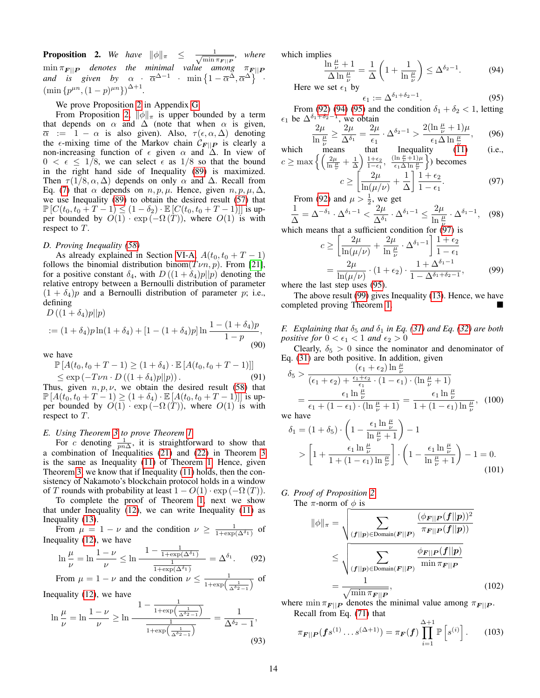<span id="page-13-4"></span>**Proposition 2.** We have  $\|\phi\|_{\pi} \leq \frac{1}{\sqrt{\min}}$  $\frac{1}{\min \pi_{\boldsymbol{F}||\boldsymbol{P}}}, \text{ where }$  $\min \pi_{\mathbf{F}||\mathbf{P}}$  *denotes the minimal value among*  $\pi_{\mathbf{F}||\mathbf{P}}$ and is given by  $\alpha$  ·  $\overline{\alpha}^{\Delta-1}$  ·  $\min\left\{1-\overline{\alpha}^{\Delta},\overline{\alpha}^{\Delta}\right\}$  ·  $(\min \{p^{\mu n}, (1-p)^{\mu n}\})^{\Delta+1}.$ 

We prove Proposition [2](#page-13-4) in Appendix [G.](#page-13-5)

From Proposition [2,](#page-13-4)  $\|\phi\|_{\pi}$  is upper bounded by a term that depends on  $\alpha$  and  $\Delta$  (note that when  $\alpha$  is given,  $\overline{\alpha}$  := 1 –  $\alpha$  is also given). Also,  $\tau(\epsilon, \alpha, \Delta)$  denoting the  $\epsilon$ -mixing time of the Markov chain  $C_{\mathbf{F}||\mathbf{P}}$  is clearly a non-increasing function of  $\epsilon$  given  $\alpha$  and  $\Delta$ . In view of  $0 < \epsilon \leq 1/8$ , we can select  $\epsilon$  as  $1/8$  so that the bound in the right hand side of Inequality [\(89\)](#page-12-4) is maximized. Then  $\tau(1/8, \alpha, \Delta)$  depends on only  $\alpha$  and  $\Delta$ . Recall from Eq. [\(7\)](#page-3-6) that  $\alpha$  depends on  $n, p, \mu$ . Hence, given  $n, p, \mu, \Delta$ , we use Inequality [\(89\)](#page-12-4) to obtain the desired result [\(57\)](#page-7-17) that  $\mathbb{P}\left[C(t_0, t_0 + T - 1) \le (1 - \delta_2) \cdot \mathbb{E}\left[C(t_0, t_0 + T - 1)\right]\right]$  is upper bounded by  $O(1) \cdot \exp(-\Omega(T))$ , where  $O(1)$  is with respect to T.

# <span id="page-13-3"></span>*D. Proving Inequality [\(58\)](#page-7-18)*

As already explained in Section [VI-A,](#page-8-0)  $A(t_0, t_0 + T - 1)$ follows the binomial distribution binom $(T\nu n, p)$ . From [\[21\]](#page-10-23), for a positive constant  $\delta_4$ , with  $D((1 + \delta_4)p||p)$  denoting the relative entropy between a Bernoulli distribution of parameter  $(1 + \delta_4)p$  and a Bernoulli distribution of parameter p; i.e., defining  $D((1+\delta_4)n||n)$ 

$$
:= (1 + \delta_4) p \ln(1 + \delta_4) + [1 - (1 + \delta_4) p] \ln \frac{1 - (1 + \delta_4) p}{1 - p},
$$
\n(90)

we have

$$
\mathbb{P}\left[A(t_0, t_0 + T - 1) \ge (1 + \delta_4) \cdot \mathbb{E}\left[A(t_0, t_0 + T - 1)\right]\right] \le \exp\left(-T\nu n \cdot D\left((1 + \delta_4)p||p\right)\right).
$$
\n(91)

Thus, given  $n, p, \nu$ , we obtain the desired result [\(58\)](#page-7-18) that  $\mathbb{P}[A(t_0, t_0 + T - 1) \ge (1 + \delta_4) \cdot \mathbb{E}[A(t_0, t_0 + T - 1)]]$  is upper bounded by  $O(1) \cdot \exp(-\Omega(T))$ , where  $O(1)$  is with respect to T.

# <span id="page-13-0"></span>*E. Using Theorem [3](#page-5-6) to prove Theorem [1](#page-4-0)*

For c denoting  $\frac{1}{pn\Delta}$ , it is straightforward to show that a combination of Inequalities [\(21\)](#page-5-4) and [\(22\)](#page-5-5) in Theorem [3](#page-5-6) is the same as Inequality [\(11\)](#page-4-2) of Theorem [1.](#page-4-0) Hence, given Theorem [3,](#page-5-6) we know that if Inequality [\(11\)](#page-4-2) holds, then the consistency of Nakamoto's blockchain protocol holds in a window of T rounds with probability at least  $1 - O(1) \cdot \exp(-\Omega(T))$ .

To complete the proof of Theorem [1,](#page-4-0) next we show that under Inequality  $(12)$ , we can write Inequality  $(11)$  as Inequality [\(13\)](#page-4-5).

From  $\mu = 1 - \nu$  and the condition  $\nu \geq \frac{1}{1 + \exp(\Delta^{\delta_1})}$  of Inequality [\(12\)](#page-4-4), we have

$$
\ln \frac{\mu}{\nu} = \ln \frac{1 - \nu}{\nu} \le \ln \frac{1 - \frac{1}{1 + \exp(\Delta^{\delta_1})}}{\frac{1}{1 + \exp(\Delta^{\delta_1})}} = \Delta^{\delta_1}.
$$
 (92)

From 
$$
\mu = 1 - \nu
$$
 and the condition  $\nu \le \frac{1}{1 + \exp\left(\frac{1}{\Delta^2 2 - 1}\right)}$  of

Inequality [\(12\)](#page-4-4), we have

$$
\ln\frac{\mu}{\nu} = \ln\frac{1-\nu}{\nu} \ge \ln\frac{1-\frac{1}{1+\exp\left(\frac{1}{\Delta^{\delta_2}-1}\right)}}{\frac{1}{1+\exp\left(\frac{1}{\Delta^{\delta_2}-1}\right)}} = \frac{1}{\Delta^{\delta_2}-1},\tag{93}
$$

which implies

$$
\frac{\ln \frac{\mu}{\nu} + 1}{\Delta \ln \frac{\mu}{\nu}} = \frac{1}{\Delta} \left( 1 + \frac{1}{\ln \frac{\mu}{\nu}} \right) \le \Delta^{\delta_2 - 1}.
$$
 (94)

<span id="page-13-9"></span><span id="page-13-8"></span><span id="page-13-7"></span> $\epsilon_1 := \Delta^{\delta_1 + \delta_2 - 1}$ .  $(95)$ 

From [\(92\)](#page-13-6) [\(94\)](#page-13-7) [\(95\)](#page-13-8) and the condition  $\delta_1 + \delta_2 < 1$ , letting  $\epsilon_1$  be  $\Delta^{\delta_1+\delta_2-1}$ , we obtain

$$
\frac{2\mu}{\ln\frac{\mu}{\nu}}\geq \frac{2\mu}{\Delta^{\delta_1}}=\frac{2\mu}{\epsilon_1}\cdot\Delta^{\delta_2-1}>\frac{2(\ln\frac{\mu}{\nu}+1)\mu}{\epsilon_1\Delta\ln\frac{\mu}{\nu}},\qquad(96)
$$

which means that 
$$
c \geq \max \left\{ \left( \frac{2\mu}{\ln \frac{\mu}{\nu}} + \frac{1}{\Delta} \right) \frac{1 + \epsilon_2}{1 - \epsilon_1}, \frac{(\ln \frac{\mu}{\nu} + 1)\mu}{\epsilon_1 \Delta \ln \frac{\mu}{\nu}} \right\}
$$
 becomes  $c > \left[ \frac{2\mu}{\mu} + \frac{1}{\epsilon_1 \Delta \ln \frac{\mu}{\nu}} \right]$ . (97)

$$
c \ge \left[ \frac{2\mu}{\ln(\mu/\nu)} + \frac{1}{\Delta} \right] \frac{1 + c_2}{1 - \epsilon_1}.
$$
 (97)

From [\(92\)](#page-13-6) and  $\mu > \frac{1}{2}$ , we get

$$
\frac{1}{\Delta} = \Delta^{-\delta_1} \cdot \Delta^{\delta_1 - 1} < \frac{2\mu}{\Delta^{\delta_1}} \cdot \Delta^{\delta_1 - 1} \le \frac{2\mu}{\ln \frac{\mu}{\nu}} \cdot \Delta^{\delta_1 - 1}, \tag{98}
$$

which means that a sufficient condition for 
$$
(97)
$$
 is

<span id="page-13-10"></span>
$$
c \ge \left[\frac{2\mu}{\ln(\mu/\nu)} + \frac{2\mu}{\ln\frac{\mu}{\nu}} \cdot \Delta^{\delta_1 - 1}\right] \frac{1 + \epsilon_2}{1 - \epsilon_1}
$$

$$
= \frac{2\mu}{\ln(\mu/\nu)} \cdot (1 + \epsilon_2) \cdot \frac{1 + \Delta^{\delta_1 - 1}}{1 - \Delta^{\delta_1 + \delta_2 - 1}},\tag{99}
$$

where the last step uses [\(95\)](#page-13-8).

The above result [\(99\)](#page-13-10) gives Inequality [\(13\)](#page-4-5). Hence, we have completed proving Theorem [1.](#page-4-0)

<span id="page-13-1"></span>*F.* Explaining that  $\delta_5$  and  $\delta_1$  in Eq. [\(31\)](#page-6-3) and Eq. [\(32\)](#page-6-4) are both *positive for*  $0 < \epsilon_1 < 1$  *and*  $\epsilon_2 > 0$ 

Clearly,  $\delta_5 > 0$  since the nominator and denominator of Eq. [\(31\)](#page-6-3) are both positive. In addition, given

$$
\delta_5 > \frac{(\epsilon_1 + \epsilon_2) \ln \frac{\mu}{\nu}}{(\epsilon_1 + \epsilon_2) + \frac{\epsilon_1 + \epsilon_2}{\epsilon_1} \cdot (1 - \epsilon_1) \cdot (\ln \frac{\mu}{\nu} + 1)}
$$
  
= 
$$
\frac{\epsilon_1 \ln \frac{\mu}{\nu}}{\epsilon_1 + (1 - \epsilon_1) \cdot (\ln \frac{\mu}{\nu} + 1)} = \frac{\epsilon_1 \ln \frac{\mu}{\nu}}{1 + (1 - \epsilon_1) \ln \frac{\mu}{\nu}},
$$
(100)

we have

,

<span id="page-13-2"></span>
$$
\delta_1 = (1 + \delta_5) \cdot \left(1 - \frac{\epsilon_1 \ln \frac{\mu}{\nu}}{\ln \frac{\mu}{\nu} + 1}\right) - 1
$$
  
> 
$$
\left[1 + \frac{\epsilon_1 \ln \frac{\mu}{\nu}}{1 + (1 - \epsilon_1) \ln \frac{\mu}{\nu}}\right] \cdot \left(1 - \frac{\epsilon_1 \ln \frac{\mu}{\nu}}{\ln \frac{\mu}{\nu} + 1}\right) - 1 = 0.
$$
 (101)

# <span id="page-13-5"></span>*G. Proof of Proposition [2](#page-13-4)*

The  $\pi$ -norm of  $\phi$  is

<span id="page-13-12"></span>
$$
\|\phi\|_{\pi} = \sqrt{\sum_{(\boldsymbol{f}||\boldsymbol{p}) \in \text{Domain}(\boldsymbol{F}||\boldsymbol{P})} \frac{(\phi_{\boldsymbol{F}||\boldsymbol{P}(\boldsymbol{f}||\boldsymbol{p}))^2}}{\pi_{\boldsymbol{F}||\boldsymbol{P}(\boldsymbol{f}||\boldsymbol{p})}}}
$$

$$
\leq \sqrt{\sum_{(\boldsymbol{f}||\boldsymbol{p}) \in \text{Domain}(\boldsymbol{F}||\boldsymbol{P})} \frac{\phi_{\boldsymbol{F}||\boldsymbol{P}(\boldsymbol{f}||\boldsymbol{p})}}{\min \pi_{\boldsymbol{F}||\boldsymbol{P}}}}
$$

$$
= \frac{1}{\sqrt{\min \pi_{\boldsymbol{F}||\boldsymbol{P}}}}, \qquad (102)
$$

<span id="page-13-6"></span>where  $\min \pi_{\mathbf{F}||\mathbf{P}}$  denotes the minimal value among  $\pi_{\mathbf{F}||\mathbf{P}}$ . Recall from Eq. [\(71\)](#page-9-2) that  $\lambda$ <sub>1</sub>

<span id="page-13-11"></span>
$$
\pi_{\mathbf{F}||\mathbf{P}}(\mathbf{f}s^{(1)}\dots s^{(\Delta+1)}) = \pi_{\mathbf{F}}(\mathbf{f}) \prod_{i=1}^{\Delta+1} \mathbb{P}\left[s^{(i)}\right].
$$
 (103)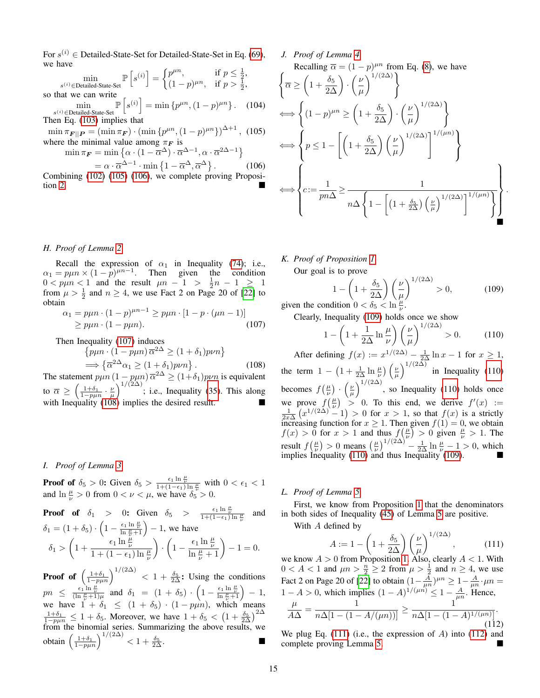For  $s^{(i)} \in$  Detailed-State-Set for Detailed-State-Set in Eq. [\(69\)](#page-9-0), we have

$$
\min_{s^{(i)} \in \text{Detailed-State-Set}} \mathbb{P}\left[s^{(i)}\right] = \begin{cases} p^{\mu n}, & \text{if } p \le \frac{1}{2}, \\ (1-p)^{\mu n}, & \text{if } p > \frac{1}{2}, \end{cases}
$$
\nso that we can write

min s (i)∈Detailed-State-Set  $\mathbb{P}\left[s^{(i)}\right] = \min\{p^{\mu n},(1-p)^{\mu n}\}\.$  (104) Then Eq. [\(103\)](#page-13-11) implies that

 $\min \pi_{\mathbf{F}||\mathbf{P}} = (\min \pi_{\mathbf{F}}) \cdot (\min \{p^{\mu n}, (1-p)^{\mu n}\})^{\Delta+1},$  (105) where the minimal value among  $\pi_F$  is

$$
\min \pi_F = \min \left\{ \alpha \cdot (1 - \overline{\alpha}^{\Delta}) \cdot \overline{\alpha}^{\Delta - 1}, \alpha \cdot \overline{\alpha}^{2\Delta - 1} \right\}
$$

 $=\alpha \cdot \overline{\alpha}^{\Delta-1} \cdot \min\left\{1-\overline{\alpha}^{\Delta},\overline{\alpha}^{\Delta}\right\}$  $(106)$ Combining [\(102\)](#page-13-12) [\(105\)](#page-14-1) [\(106\)](#page-14-2), we complete proving Proposi-tion [2.](#page-13-4)

# <span id="page-14-0"></span>*H. Proof of Lemma [2](#page-6-0)*

Recall the expression of  $\alpha_1$  in Inequality [\(74\)](#page-10-18); i.e.,  $\alpha_1 = p\mu n \times (1 - p)^{\mu n - 1}$ . Then given the condition  $0 < p\mu n < 1$  and the result  $\mu n - 1 > \frac{1}{2}n - 1 \ge 1$ from  $\mu > \frac{1}{2}$  and  $n \ge 4$ , we use Fact 2 on Page 20 of [\[22\]](#page-10-24) to obtain

$$
\alpha_1 = p\mu n \cdot (1 - p)^{\mu n - 1} \ge p\mu n \cdot [1 - p \cdot (\mu n - 1)]
$$
  
 
$$
\ge p\mu n \cdot (1 - p\mu n). \tag{107}
$$

Then Inequality [\(107\)](#page-14-3) induces

$$
\{p\mu n \cdot (1 - p\mu n) \overline{\alpha}^{2\Delta} \ge (1 + \delta_1) p\nu n\}
$$
  
\n
$$
\implies \{\overline{\alpha}^{2\Delta} \alpha_1 \ge (1 + \delta_1) p\nu n\}.
$$
 (

.  $(108)$ The statement  $p\mu n (1 - p\mu n) \overline{\alpha}^{2\Delta} \ge (1 + \delta_1) p\nu n$  is equivalent to  $\overline{\alpha} \ge \left(\frac{1+\delta_1}{1-p\mu n} \cdot \frac{\nu}{\mu}\right)^{1/(2\Delta)}$ ; i.e., Inequality [\(35\)](#page-6-7). This along with Inequality [\(108\)](#page-14-4) implies the desired result.

# *I. Proof of Lemma [3](#page-6-1)*

**Proof of**  $\delta_5 > 0$ : Given  $\delta_5 > \frac{\epsilon_1 \ln \frac{\mu}{\nu}}{1 + (1 - \epsilon_1) \ln \frac{\mu}{\nu}}$  with  $0 < \epsilon_1 < 1$ and  $\ln \frac{\mu}{\nu} > 0$  from  $0 < \nu < \mu$ , we have  $\delta_5 > 0$ .

**Proof of** 
$$
\delta_1
$$
 > 0: Given  $\delta_5$  >  $\frac{\epsilon_1 \ln \frac{\mu}{\nu}}{1 + (1 - \epsilon_1) \ln \frac{\mu}{\nu}}$  and  $\delta_1 = (1 + \delta_5) \cdot \left(1 - \frac{\epsilon_1 \ln \frac{\mu}{\nu}}{\ln \frac{\mu}{\nu} + 1}\right) - 1$ , we have  $\delta_1 > \left(1 + \frac{\epsilon_1 \ln \frac{\mu}{\nu}}{1 + (1 - \epsilon_1) \ln \frac{\mu}{\nu}}\right) \cdot \left(1 - \frac{\epsilon_1 \ln \frac{\mu}{\nu}}{\ln \frac{\mu}{\nu} + 1}\right) - 1 = 0$ .

**Proof of**  $\left(\frac{1+\delta_1}{1-p\mu n}\right)^{1/(2\Delta)} < 1 + \frac{\delta_5}{2\Delta}$ : Using the conditions  $pn \leq \frac{\epsilon_1 \ln \frac{\mu}{\nu}}{(\ln \frac{\mu}{\nu} + 1)\mu}$  and  $\delta_1 = (1 + \delta_5) \cdot \left(1 - \frac{\epsilon_1 \ln \frac{\mu}{\nu}}{\ln \frac{\mu}{\nu} + 1}\right) - 1$ , we have  $1 + \delta_1 \leq (1 + \delta_5) \cdot (1 - p\mu n)$ , which means  $\frac{1+\delta_1}{1-p\mu n} \leq 1+\delta_5$ . Moreover, we have  $1+\delta_5 < (1+\frac{\delta_5}{2\Delta})^{2\Delta}$ from the binomial series. Summarizing the above results, we obtain  $\left(\frac{1+\delta_1}{1-p\mu n}\right)^{1/(2\Delta)} < 1+\frac{\delta_5}{2\Delta}$ .

# *J. Proof of Lemma [4](#page-6-2)*

<span id="page-14-2"></span><span id="page-14-1"></span>Recalling 
$$
\overline{\alpha} = (1 - p)^{\mu n}
$$
 from Eq. (8), we have  
\n
$$
\left\{ \overline{\alpha} \ge \left( 1 + \frac{\delta_5}{2\Delta} \right) \cdot \left( \frac{\nu}{\mu} \right)^{1/(2\Delta)} \right\}
$$
\n
$$
\iff \left\{ (1 - p)^{\mu n} \ge \left( 1 + \frac{\delta_5}{2\Delta} \right) \cdot \left( \frac{\nu}{\mu} \right)^{1/(2\Delta)} \right\}
$$
\n
$$
\iff \left\{ p \le 1 - \left[ \left( 1 + \frac{\delta_5}{2\Delta} \right) \left( \frac{\nu}{\mu} \right)^{1/(2\Delta)} \right]^{1/(\mu n)} \right\}
$$
\n
$$
\iff \left\{ c := \frac{1}{p n \Delta} \ge \frac{1}{n \Delta \left\{ 1 - \left[ \left( 1 + \frac{\delta_5}{2\Delta} \right) \left( \frac{\nu}{\mu} \right)^{1/(2\Delta)} \right]^{1/(\mu n)} \right\}} \right\}
$$

*K. Proof of Proposition [1](#page-6-13)*

Our goal is to prove

$$
1 - \left(1 + \frac{\delta_5}{2\Delta}\right) \left(\frac{\nu}{\mu}\right)^{1/(2\Delta)} > 0,
$$
 (109) given the condition  $0 < \delta_5 < \ln \frac{\mu}{\nu}$ .

<span id="page-14-6"></span><span id="page-14-5"></span>.

<span id="page-14-3"></span>Clearly, Inequality [\(109\)](#page-14-5) holds once we show

$$
1 - \left(1 + \frac{1}{2\Delta} \ln \frac{\mu}{\nu}\right) \left(\frac{\nu}{\mu}\right)^{1/(2\Delta)} > 0. \tag{110}
$$

<span id="page-14-4"></span>After defining  $f(x) := x^{1/(2\Delta)} - \frac{1}{2\Delta} \ln x - 1$  for  $x \ge 1$ , the term  $1 - \left(1 + \frac{1}{2\Delta} \ln \frac{\mu}{\nu}\right) \left(\frac{\nu}{\mu}\right)^{1/(2\Delta)}$  in Inequality [\(110\)](#page-14-6) becomes  $f(\frac{\mu}{\nu}) \cdot (\frac{\nu}{\mu})^{1/(2\Delta)}$ , so Inequality [\(110\)](#page-14-6) holds once we prove  $f(\frac{\mu}{\nu}) > 0$ . To this end, we derive  $f'(x) := \frac{1}{2x\Delta} (x^{1/(2\Delta)} - 1) > 0$  for  $x > 1$ , so that  $f(x)$  is a strictly increasing function for  $x \ge 1$ . Then given  $f(1) = 0$ , we obtain  $f(x) > 0$  for  $x > 1$  and thus  $f(\frac{\mu}{\nu}) > 0$  given  $\frac{\mu}{\nu} > 1$ . The result  $f(\frac{\mu}{\nu}) > 0$  means  $(\frac{\mu}{\nu})^{1/(2\Delta)} - \frac{1}{2\Delta} \ln \frac{\mu}{\nu} - 1 > 0$ , which implies Inequality [\(110\)](#page-14-6) and thus Inequality [\(109\)](#page-14-5).

# *L. Proof of Lemma [5](#page-7-1)*

First, we know from Proposition [1](#page-6-13) that the denominators in both sides of Inequality [\(45\)](#page-7-6) of Lemma [5](#page-7-1) are positive.

With A defined by

<span id="page-14-8"></span><span id="page-14-7"></span>
$$
A := 1 - \left(1 + \frac{\delta_5}{2\Delta}\right) \left(\frac{\nu}{\mu}\right)^{1/(2\Delta)},\tag{111}
$$

we know  $A > 0$  from Proposition [1.](#page-6-13) Also, clearly  $A < 1$ . With  $0 < A < 1$  and  $\mu n > \frac{n}{2} \ge 2$  from  $\mu > \frac{1}{2}$  and  $n \ge 4$ , we use Fact 2 on Page 20 of [\[22\]](#page-10-24) to obtain  $\left(1 - \frac{A}{\mu n}\right)^{\mu n} \ge 1 - \frac{A}{\mu n} \cdot \mu n =$  $1 - A > 0$ , which implies  $(1 - A)^{1/(\mu n)} \leq 1 - \frac{A}{\mu n}$ . Hence,  $\mu$  $\frac{\mu}{A\Delta} = \frac{1}{n\Delta[1 - (1 - A/(\mu n))]}\geq \frac{1}{n\Delta[1 - (1 \frac{1}{n\Delta[1-(1-A)^{1/(\mu n)}]}$ .  $(112)$ 

We plug Eq.  $(111)$  (i.e., the expression of A) into  $(112)$  and complete proving Lemma [5.](#page-7-1)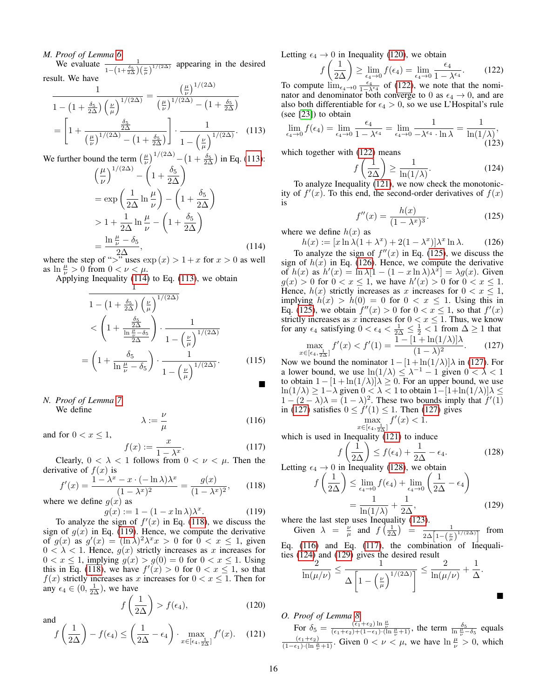# *M. Proof of Lemma [6](#page-7-2)*

We evaluate  $\frac{1}{1-(1+\frac{\delta_5}{2\Delta})(\frac{\nu}{\mu})^{1/(2\Delta)}}$  appearing in the desired result. We have

$$
\frac{1}{1 - \left(1 + \frac{\delta_5}{2\Delta}\right) \left(\frac{\nu}{\mu}\right)^{1/(2\Delta)}} = \frac{\left(\frac{\mu}{\nu}\right)^{1/(2\Delta)}}{\left(\frac{\mu}{\nu}\right)^{1/(2\Delta)} - \left(1 + \frac{\delta_5}{2\Delta}\right)}
$$

$$
= \left[1 + \frac{\frac{\delta_5}{2\Delta}}{\left(\frac{\mu}{\nu}\right)^{1/(2\Delta)} - \left(1 + \frac{\delta_5}{2\Delta}\right)}\right] \cdot \frac{1}{1 - \left(\frac{\mu}{\mu}\right)^{1/(2\Delta)}}. \quad (113)
$$

We further bound the term  $\left(\frac{\mu}{\nu}\right)^{1/(2\Delta)} - \left(1 + \frac{\delta_5}{2\Delta}\right)$  in Eq. [\(113\)](#page-15-1):

$$
\left(\frac{\mu}{\nu}\right)^{1/(2\Delta)} - \left(1 + \frac{\delta_5}{2\Delta}\right)
$$
  
=  $\exp\left(\frac{1}{2\Delta}\ln\frac{\mu}{\nu}\right) - \left(1 + \frac{\delta_5}{2\Delta}\right)$   
>  $1 + \frac{1}{2\Delta}\ln\frac{\mu}{\nu} - \left(1 + \frac{\delta_5}{2\Delta}\right)$   
=  $\frac{\ln\frac{\mu}{\nu} - \delta_5}{2\Delta}$ , (114)

where the step of ">" uses  $\exp(x) > 1 + x$  for  $x > 0$  as well as  $\ln \frac{\mu}{\nu} > 0$  from  $0 < \nu < \mu$ .

Applying Inequality [\(114\)](#page-15-2) to Eq. [\(113\)](#page-15-1), we obtain

$$
\frac{1}{1 - \left(1 + \frac{\delta_5}{2\Delta}\right) \left(\frac{\nu}{\mu}\right)^{1/(2\Delta)}} \n< \left(1 + \frac{\frac{\delta_5}{2\Delta}}{\frac{\ln \frac{\nu}{\nu} - \delta_5}{2\Delta}}\right) \cdot \frac{1}{1 - \left(\frac{\nu}{\mu}\right)^{1/(2\Delta)}} \n= \left(1 + \frac{\delta_5}{\ln \frac{\mu}{\nu} - \delta_5}\right) \cdot \frac{1}{1 - \left(\frac{\nu}{\mu}\right)^{1/(2\Delta)}}.
$$
\n(115)

*N. Proof of Lemma [7](#page-7-3)* We define

and for  $0 < x < 1$ ,

$$
\lambda := \frac{\nu}{\mu} \tag{116}
$$

$$
f(x) := \frac{x}{1 - \lambda^x}.\tag{117}
$$

Clearly,  $0 < \lambda < 1$  follows from  $0 < \nu < \mu$ . Then the derivative of  $f(x)$  is

$$
f'(x) = \frac{1 - \lambda^x - x \cdot (-\ln \lambda)\lambda^x}{(1 - \lambda^x)^2} = \frac{g(x)}{(1 - \lambda^x)^2},\qquad(118)
$$

where we define  $g(x)$  as

$$
g(x) := 1 - (1 - x \ln \lambda) \lambda^x.
$$
 (119)

To analyze the sign of  $f'(x)$  in Eq. [\(118\)](#page-15-3), we discuss the sign of  $g(x)$  in Eq. [\(119\)](#page-15-4). Hence, we compute the derivative of  $g(x)$  as  $g'(x) = (\ln \lambda)^2 \lambda^x x > 0$  for  $0 < x \le 1$ , given  $0 < \lambda < 1$ . Hence,  $g(x)$  strictly increases as x increases for  $0 < x \leq 1$ , implying  $g(x) > g(0) = 0$  for  $0 < x \leq 1$ . Using this in Eq. [\(118\)](#page-15-3), we have  $f'(x) > 0$  for  $0 < x \le 1$ , so that  $f(x)$  strictly increases as x increases for  $0 < x \leq 1$ . Then for any  $\epsilon_4 \in (0, \frac{1}{2\Delta})$ , we have

$$
f\left(\frac{1}{2\Delta}\right) > f(\epsilon_4),\tag{120}
$$

and  

$$
f\left(\frac{1}{2\Delta}\right) - f(\epsilon_4) \le \left(\frac{1}{2\Delta} - \epsilon_4\right) \cdot \max_{x \in [\epsilon_4, \frac{1}{2\Delta}]} f'(x).
$$
 (121)

Letting  $\epsilon_4 \rightarrow 0$  in Inequality [\(120\)](#page-15-5), we obtain

$$
f\left(\frac{1}{2\Delta}\right) \ge \lim_{\epsilon_4 \to 0} f(\epsilon_4) = \lim_{\epsilon_4 \to 0} \frac{\epsilon_4}{1 - \lambda^{\epsilon_4}}.
$$
 (122)

To compute  $\lim_{\epsilon_4 \to 0} \frac{\epsilon_4}{1-\lambda \epsilon_4}$  of [\(122\)](#page-15-6), we note that the nominator and denominator both converge to 0 as  $\epsilon_4 \rightarrow 0$ , and are also both differentiable for  $\epsilon_4 > 0$ , so we use L'Hospital's rule (see [\[23\]](#page-10-22)) to obtain

<span id="page-15-1"></span>
$$
\lim_{\epsilon_4 \to 0} f(\epsilon_4) = \lim_{\epsilon_4 \to 0} \frac{\epsilon_4}{1 - \lambda^{\epsilon_4}} = \lim_{\epsilon_4 \to 0} \frac{1}{-\lambda^{\epsilon_4} \cdot \ln \lambda} = \frac{1}{\ln(1/\lambda)},
$$
\n(123)

which together with  $(122)$  means

<span id="page-15-15"></span><span id="page-15-12"></span><span id="page-15-6"></span>
$$
f\left(\frac{1}{2\Delta}\right) \ge \frac{1}{\ln(1/\lambda)}.\tag{124}
$$

To analyze Inequality [\(121\)](#page-15-7), we now check the monotonicity of  $f'(x)$ . To this end, the second-order derivatives of  $f(x)$ is

<span id="page-15-9"></span><span id="page-15-8"></span>
$$
f''(x) = \frac{h(x)}{(1 - \lambda^x)^3}.
$$
 (125)

<span id="page-15-2"></span>where we define  $h(x)$  as

 $h(x) := [x \ln \lambda (1 + \lambda^x) + 2(1 - \lambda^x)] \lambda^x \ln \lambda.$  (126)

To analyze the sign of  $f''(x)$  in Eq. [\(125\)](#page-15-8), we discuss the sign of  $h(x)$  in Eq. [\(126\)](#page-15-9). Hence, we compute the derivative of  $h(x)$  as  $h'(x) = \ln \lambda [1 - (1 - x \ln \lambda)\lambda^x] = \lambda g(x)$ . Given  $g(x) > 0$  for  $0 < x \le 1$ , we have  $h'(x) > 0$  for  $0 < x \le 1$ . Hence,  $h(x)$  strictly increases as x increases for  $0 < x \leq 1$ , implying  $h(x) > h(0) = 0$  for  $0 < x \le 1$ . Using this in Eq. [\(125\)](#page-15-8), we obtain  $f''(x) > 0$  for  $0 < x \le 1$ , so that  $f'(x)$ strictly increases as x increases for  $0 < x \le 1$ . Thus, we know for any  $\epsilon_4$  satisfying  $0 < \epsilon_4 < \frac{1}{2\Delta} \leq \frac{1}{2} < 1$  from  $\Delta \geq 1$  that

$$
\max_{x \in [\epsilon_4, \frac{1}{2\Delta}]} f'(x) < f'(1) = \frac{1 - [1 + \ln(1/\lambda)]\lambda}{(1 - \lambda)^2}.\tag{127}
$$

Now we bound the nominator  $1-[1+\ln(1/\lambda)]\lambda$  in [\(127\)](#page-15-10). For a lower bound, we use  $\ln(1/\lambda) \leq \lambda^{-1} - 1$  given  $0 < \lambda < 1$ to obtain  $1 - [1 + \ln(1/\lambda)]\lambda \ge 0$ . For an upper bound, we use ln(1/ $\lambda$ ) ≥ 1− $\lambda$  given  $0 < \lambda < 1$  to obtain 1–[1+ln(1/ $\lambda$ )] $\lambda \le$  $1-(2-\lambda)\lambda = (1-\lambda)^2$ . These two bounds imply that  $f'(1)$ in [\(127\)](#page-15-10) satisfies  $0 \le f'(1) \le 1$ . Then (127) gives max  $f'(x) < 1$ .

<span id="page-15-11"></span><span id="page-15-10"></span>
$$
\max_{x \in [\epsilon_4, \frac{1}{2\Delta}]} J(x) < 1
$$
\n
$$
\text{quality (121) to inc.}
$$

<span id="page-15-14"></span><span id="page-15-13"></span>which is used in Inequality [\(121\)](#page-15-7) to induce

$$
f\left(\frac{1}{2\Delta}\right) \le f(\epsilon_4) + \frac{1}{2\Delta} - \epsilon_4.
$$
 (128)

<span id="page-15-3"></span>Letting  $\epsilon_4 \rightarrow 0$  in Inequality [\(128\)](#page-15-11), we obtain

$$
\frac{1}{2\Delta} \bigg) \le \lim_{\epsilon_4 \to 0} f(\epsilon_4) + \lim_{\epsilon_4 \to 0} \left( \frac{1}{2\Delta} - \epsilon_4 \right)
$$

$$
= \frac{1}{\ln(1/\lambda)} + \frac{1}{2\Delta}, \tag{129}
$$

<span id="page-15-16"></span> $\blacksquare$ 

<span id="page-15-4"></span>where the last step uses Inequality [\(123\)](#page-15-12). Given  $\lambda = \frac{\nu}{\mu}$  and  $f\left(\frac{1}{2\Delta}\right) = \frac{1}{2\Delta\left[1-\left(\frac{\mu}{\mu}\right)^{1/(2\Delta)}\right]}$  from

Eq. [\(116\)](#page-15-13) and Eq. [\(117\)](#page-15-14), the combination of Inequalities [\(124\)](#page-15-15) and [\(129\)](#page-15-16) gives the desired result

$$
\frac{2}{\ln(\mu/\nu)} \leq \frac{1}{\Delta \left[1 - \left(\frac{\nu}{\mu}\right)^{1/(2\Delta)}\right]} \leq \frac{2}{\ln(\mu/\nu)} + \frac{1}{\Delta}.
$$

# <span id="page-15-7"></span><span id="page-15-5"></span><span id="page-15-0"></span>*O. Proof of Lemma [8](#page-7-4)*

f  $\sqrt{ }$ 

For  $\delta_5 = \frac{(\epsilon_1 + \epsilon_2) \ln \frac{\mu}{\nu}}{(\epsilon_1 + \epsilon_2) + (1 - \epsilon_1) \cdot (\ln \frac{\mu}{\nu} + 1)}$ , the term  $\frac{\delta_5}{\ln \frac{\mu}{\nu} - \delta_5}$  equals  $\frac{(\epsilon_1+\epsilon_2)}{(1-\epsilon_1)\cdot(\ln\frac{\mu}{\nu}+1)}$ . Given  $0 < \nu < \mu$ , we have  $\ln\frac{\mu}{\nu} > 0$ , which